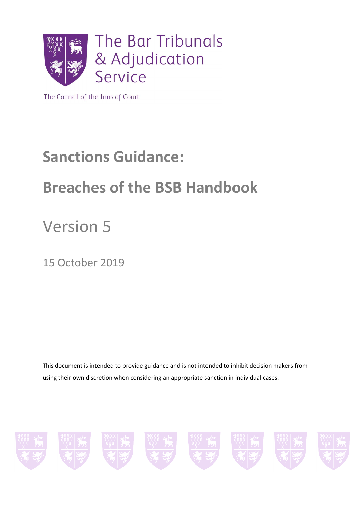

The Council of the Inns of Court

# **Sanctions Guidance:**

# **Breaches of the BSB Handbook**

# Version 5

15 October 2019

This document is intended to provide guidance and is not intended to inhibit decision makers from using their own discretion when considering an appropriate sanction in individual cases.

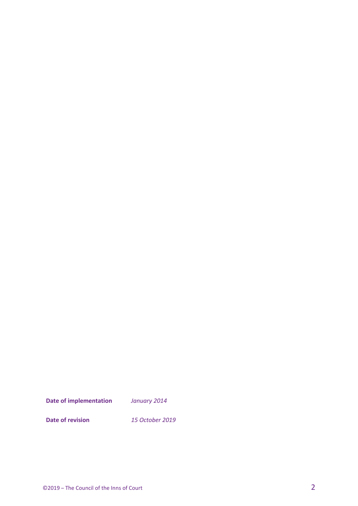**Date of implementation** *January 2014*

**Date of revision**

*15 October 2019*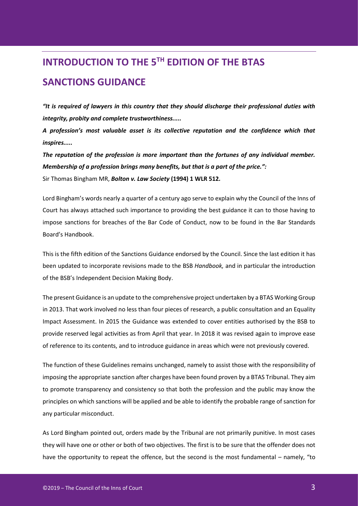# <span id="page-2-0"></span>INTRODUCTION TO THE 5<sup>TH</sup> EDITION OF THE BTAS

# **SANCTIONS GUIDANCE**

*"It is required of lawyers in this country that they should discharge their professional duties with integrity, probity and complete trustworthiness.....*

*A profession's most valuable asset is its collective reputation and the confidence which that inspires.....*

*The reputation of the profession is more important than the fortunes of any individual member. Membership of a profession brings many benefits, but that is a part of the price.":*  Sir Thomas Bingham MR, *Bolton v. Law Society* **(1994) 1 WLR 512***.*

Lord Bingham's words nearly a quarter of a century ago serve to explain why the Council of the Inns of Court has always attached such importance to providing the best guidance it can to those having to impose sanctions for breaches of the Bar Code of Conduct, now to be found in the Bar Standards Board's Handbook.

This is the fifth edition of the Sanctions Guidance endorsed by the Council. Since the last edition it has been updated to incorporate revisions made to the BSB *Handbook,* and in particular the introduction of the BSB's Independent Decision Making Body.

The present Guidance is an update to the comprehensive project undertaken by a BTAS Working Group in 2013. That work involved no less than four pieces of research, a public consultation and an Equality Impact Assessment. In 2015 the Guidance was extended to cover entities authorised by the BSB to provide reserved legal activities as from April that year. In 2018 it was revised again to improve ease of reference to its contents, and to introduce guidance in areas which were not previously covered.

The function of these Guidelines remains unchanged, namely to assist those with the responsibility of imposing the appropriate sanction after charges have been found proven by a BTAS Tribunal. They aim to promote transparency and consistency so that both the profession and the public may know the principles on which sanctions will be applied and be able to identify the probable range of sanction for any particular misconduct.

As Lord Bingham pointed out, orders made by the Tribunal are not primarily punitive. In most cases they will have one or other or both of two objectives. The first is to be sure that the offender does not have the opportunity to repeat the offence, but the second is the most fundamental – namely, "to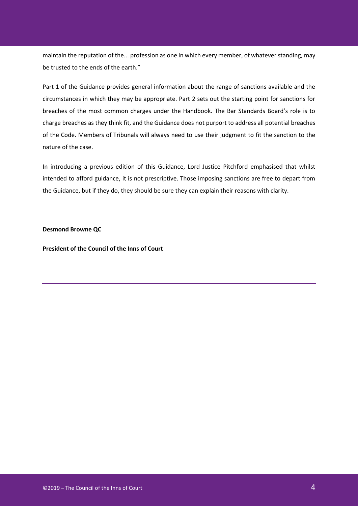maintain the reputation of the... profession as one in which every member, of whatever standing, may be trusted to the ends of the earth."

Part 1 of the Guidance provides general information about the range of sanctions available and the circumstances in which they may be appropriate. Part 2 sets out the starting point for sanctions for breaches of the most common charges under the Handbook. The Bar Standards Board's role is to charge breaches as they think fit, and the Guidance does not purport to address all potential breaches of the Code. Members of Tribunals will always need to use their judgment to fit the sanction to the nature of the case.

In introducing a previous edition of this Guidance, Lord Justice Pitchford emphasised that whilst intended to afford guidance, it is not prescriptive. Those imposing sanctions are free to depart from the Guidance, but if they do, they should be sure they can explain their reasons with clarity.

**Desmond Browne QC**

**President of the Council of the Inns of Court**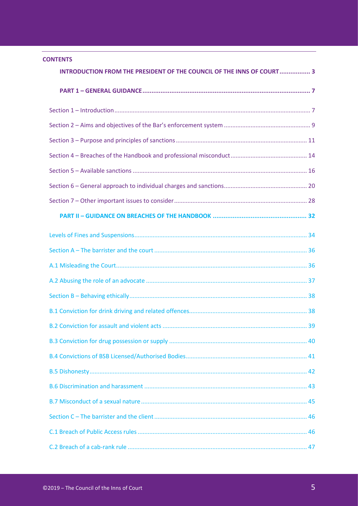| <b>CONTENTS</b> |                                                                       |  |
|-----------------|-----------------------------------------------------------------------|--|
|                 | INTRODUCTION FROM THE PRESIDENT OF THE COUNCIL OF THE INNS OF COURT 3 |  |
|                 |                                                                       |  |
|                 |                                                                       |  |
|                 |                                                                       |  |
|                 |                                                                       |  |
|                 |                                                                       |  |
|                 |                                                                       |  |
|                 |                                                                       |  |
|                 |                                                                       |  |
|                 |                                                                       |  |
|                 |                                                                       |  |
|                 |                                                                       |  |
|                 |                                                                       |  |
|                 |                                                                       |  |
|                 |                                                                       |  |
|                 |                                                                       |  |
|                 |                                                                       |  |
|                 |                                                                       |  |
|                 |                                                                       |  |
|                 |                                                                       |  |
|                 |                                                                       |  |
|                 |                                                                       |  |
|                 |                                                                       |  |
|                 |                                                                       |  |
|                 |                                                                       |  |

j.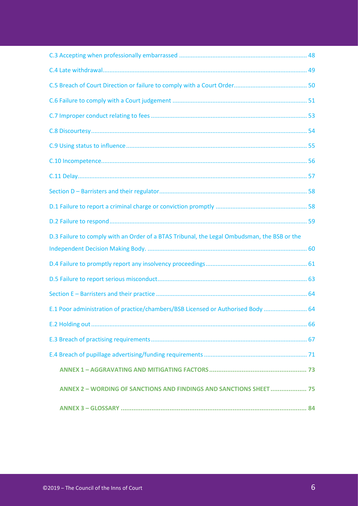| D.3 Failure to comply with an Order of a BTAS Tribunal, the Legal Ombudsman, the BSB or the |  |  |
|---------------------------------------------------------------------------------------------|--|--|
|                                                                                             |  |  |
|                                                                                             |  |  |
|                                                                                             |  |  |
|                                                                                             |  |  |
|                                                                                             |  |  |
| E.1 Poor administration of practice/chambers/BSB Licensed or Authorised Body  64            |  |  |
|                                                                                             |  |  |
|                                                                                             |  |  |
|                                                                                             |  |  |
|                                                                                             |  |  |
| ANNEX 2 - WORDING OF SANCTIONS AND FINDINGS AND SANCTIONS SHEET 75                          |  |  |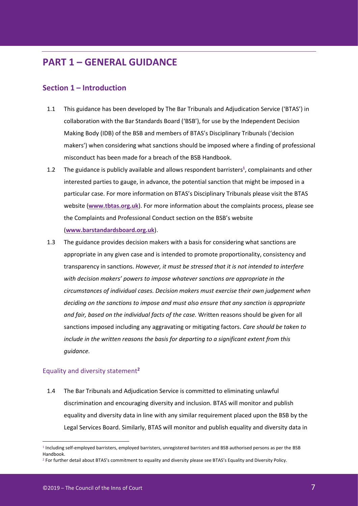# <span id="page-6-0"></span>**PART 1 – GENERAL GUIDANCE**

## <span id="page-6-1"></span>**Section 1 – Introduction**

- 1.1 This guidance has been developed by The Bar Tribunals and Adjudication Service ('BTAS') in collaboration with the Bar Standards Board ('BSB'), for use by the Independent Decision Making Body (IDB) of the BSB and members of BTAS's Disciplinary Tribunals ('decision makers') when considering what sanctions should be imposed where a finding of professional misconduct has been made for a breach of the BSB Handbook.
- 1.2 The guidance is publicly available and allows respondent barristers**<sup>1</sup>** , complainants and other interested parties to gauge, in advance, the potential sanction that might be imposed in a particular case. For more information on BTAS's Disciplinary Tribunals please visit the BTAS website (**[www.tbtas.org.uk](http://www.tbtas.org.uk/)**). For more information about the complaints process, please see the Complaints and Professional Conduct section on the BSB's website (**[www.barstandardsboard.org.uk](http://www.barstandardsboard.org.uk/)**).
- 1.3 The guidance provides decision makers with a basis for considering what sanctions are appropriate in any given case and is intended to promote proportionality, consistency and transparency in sanctions. *However, it must be stressed that it is not intended to interfere with decision makers' powers to impose whatever sanctions are appropriate in the circumstances of individual cases. Decision makers must exercise their own judgement when deciding on the sanctions to impose and must also ensure that any sanction is appropriate and fair, based on the individual facts of the case.* Written reasons should be given for all sanctions imposed including any aggravating or mitigating factors. *Care should be taken to include in the written reasons the basis for departing to a significant extent from this guidance.*

#### Equality and diversity statement**<sup>2</sup>**

1.4 The Bar Tribunals and Adjudication Service is committed to eliminating unlawful discrimination and encouraging diversity and inclusion. BTAS will monitor and publish equality and diversity data in line with any similar requirement placed upon the BSB by the Legal Services Board. Similarly, BTAS will monitor and publish equality and diversity data in

<sup>&</sup>lt;sup>1</sup> Including self-employed barristers, employed barristers, unregistered barristers and BSB authorised persons as per the BSB Handbook.

<sup>&</sup>lt;sup>2</sup> For further detail about BTAS's commitment to equality and diversity please see BTAS's Equality and Diversity Policy.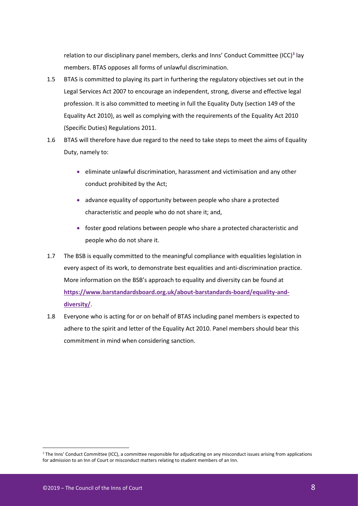relation to our disciplinary panel members, clerks and Inns' Conduct Committee (ICC)**<sup>3</sup>** lay members. BTAS opposes all forms of unlawful discrimination.

- 1.5 BTAS is committed to playing its part in furthering the regulatory objectives set out in the Legal Services Act 2007 to encourage an independent, strong, diverse and effective legal profession. It is also committed to meeting in full the Equality Duty (section 149 of the Equality Act 2010), as well as complying with the requirements of the Equality Act 2010 (Specific Duties) Regulations 2011.
- 1.6 BTAS will therefore have due regard to the need to take steps to meet the aims of Equality Duty, namely to:
	- eliminate unlawful discrimination, harassment and victimisation and any other conduct prohibited by the Act;
	- advance equality of opportunity between people who share a protected characteristic and people who do not share it; and,
	- foster good relations between people who share a protected characteristic and people who do not share it.
- 1.7 The BSB is equally committed to the meaningful compliance with equalities legislation in every aspect of its work, to demonstrate best equalities and anti-discrimination practice. More information on the BSB's approach to equality and diversity can be found at **[https://www.barstandardsboard.org.uk/about-barstandards-board/equality-and](https://www.barstandardsboard.org.uk/about-barstandards-board/equality-and-diversity/)[diversity/](https://www.barstandardsboard.org.uk/about-barstandards-board/equality-and-diversity/)**.
- 1.8 Everyone who is acting for or on behalf of BTAS including panel members is expected to adhere to the spirit and letter of the Equality Act 2010. Panel members should bear this commitment in mind when considering sanction.

<sup>&</sup>lt;sup>3</sup> The Inns' Conduct Committee (ICC), a committee responsible for adjudicating on any misconduct issues arising from applications for admission to an Inn of Court or misconduct matters relating to student members of an Inn.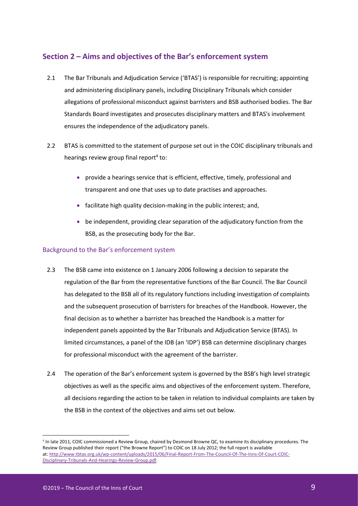# <span id="page-8-0"></span>**Section 2 – Aims and objectives of the Bar's enforcement system**

- 2.1 The Bar Tribunals and Adjudication Service ('BTAS') is responsible for recruiting; appointing and administering disciplinary panels, including Disciplinary Tribunals which consider allegations of professional misconduct against barristers and BSB authorised bodies. The Bar Standards Board investigates and prosecutes disciplinary matters and BTAS's involvement ensures the independence of the adjudicatory panels.
- 2.2 BTAS is committed to the statement of purpose set out in the COIC disciplinary tribunals and hearings review group final report**<sup>4</sup>** to:
	- provide a hearings service that is efficient, effective, timely, professional and transparent and one that uses up to date practises and approaches.
	- facilitate high quality decision-making in the public interest; and,
	- be independent, providing clear separation of the adjudicatory function from the BSB, as the prosecuting body for the Bar.

### Background to the Bar's enforcement system

- 2.3 The BSB came into existence on 1 January 2006 following a decision to separate the regulation of the Bar from the representative functions of the Bar Council. The Bar Council has delegated to the BSB all of its regulatory functions including investigation of complaints and the subsequent prosecution of barristers for breaches of the Handbook. However, the final decision as to whether a barrister has breached the Handbook is a matter for independent panels appointed by the Bar Tribunals and Adjudication Service (BTAS). In limited circumstances, a panel of the IDB (an 'IDP') BSB can determine disciplinary charges for professional misconduct with the agreement of the barrister.
- 2.4 The operation of the Bar's enforcement system is governed by the BSB's high level strategic objectives as well as the specific aims and objectives of the enforcement system. Therefore, all decisions regarding the action to be taken in relation to individual complaints are taken by the BSB in the context of the objectives and aims set out below.

<sup>4</sup> In late 2011, COIC commissioned a Review Group, chaired by Desmond Browne QC, to examine its disciplinary procedures. The Review Group published their report ("the Browne Report") to COIC on 18 July 2012; the full report is available at[: http://www.tbtas.org.uk/wp-content/uploads/2015/06/Final-Report-From-The-Council-Of-The-Inns-Of-Court-COIC-](http://www.tbtas.org.uk/wp-content/uploads/2015/06/Final-Report-From-The-Council-Of-The-Inns-Of-Court-COIC-)[Disciplinary-Tribunals-And-Hearings-Review-Group.pdf.](http://www.tbtas.org.uk/wp-content/uploads/2015/06/Final-Report-From-The-Council-Of-The-Inns-Of-Court-COIC-)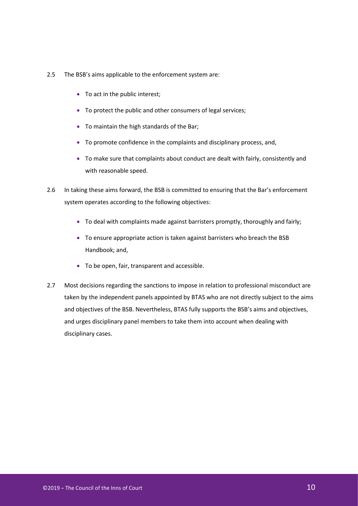- 2.5 The BSB's aims applicable to the enforcement system are:
	- To act in the public interest;
	- To protect the public and other consumers of legal services;
	- To maintain the high standards of the Bar;
	- To promote confidence in the complaints and disciplinary process, and,
	- To make sure that complaints about conduct are dealt with fairly, consistently and with reasonable speed.
- 2.6 In taking these aims forward, the BSB is committed to ensuring that the Bar's enforcement system operates according to the following objectives:
	- To deal with complaints made against barristers promptly, thoroughly and fairly;
	- To ensure appropriate action is taken against barristers who breach the BSB Handbook; and,
	- To be open, fair, transparent and accessible.
- 2.7 Most decisions regarding the sanctions to impose in relation to professional misconduct are taken by the independent panels appointed by BTAS who are not directly subject to the aims and objectives of the BSB. Nevertheless, BTAS fully supports the BSB's aims and objectives, and urges disciplinary panel members to take them into account when dealing with disciplinary cases.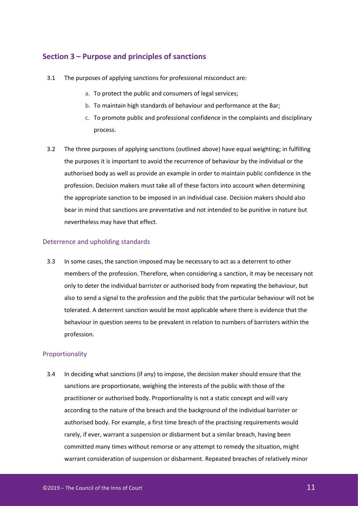## <span id="page-10-0"></span>**Section 3 – Purpose and principles of sanctions**

- 3.1 The purposes of applying sanctions for professional misconduct are:
	- a. To protect the public and consumers of legal services;
	- b. To maintain high standards of behaviour and performance at the Bar;
	- c. To promote public and professional confidence in the complaints and disciplinary process.
- 3.2 The three purposes of applying sanctions (outlined above) have equal weighting; in fulfilling the purposes it is important to avoid the recurrence of behaviour by the individual or the authorised body as well as provide an example in order to maintain public confidence in the profession. Decision makers must take all of these factors into account when determining the appropriate sanction to be imposed in an individual case. Decision makers should also bear in mind that sanctions are preventative and not intended to be punitive in nature but nevertheless may have that effect.

#### Deterrence and upholding standards

3.3 In some cases, the sanction imposed may be necessary to act as a deterrent to other members of the profession. Therefore, when considering a sanction, it may be necessary not only to deter the individual barrister or authorised body from repeating the behaviour, but also to send a signal to the profession and the public that the particular behaviour will not be tolerated. A deterrent sanction would be most applicable where there is evidence that the behaviour in question seems to be prevalent in relation to numbers of barristers within the profession.

#### Proportionality

3.4 In deciding what sanctions (if any) to impose, the decision maker should ensure that the sanctions are proportionate, weighing the interests of the public with those of the practitioner or authorised body. Proportionality is not a static concept and will vary according to the nature of the breach and the background of the individual barrister or authorised body. For example, a first time breach of the practising requirements would rarely, if ever, warrant a suspension or disbarment but a similar breach, having been committed many times without remorse or any attempt to remedy the situation, might warrant consideration of suspension or disbarment. Repeated breaches of relatively minor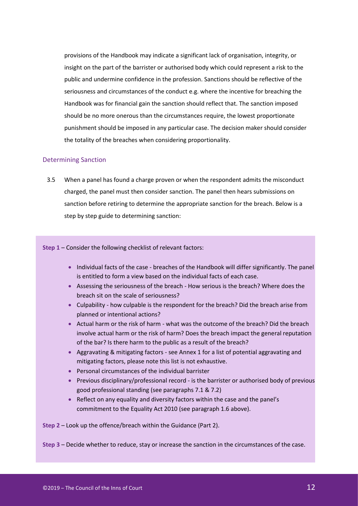provisions of the Handbook may indicate a significant lack of organisation, integrity, or insight on the part of the barrister or authorised body which could represent a risk to the public and undermine confidence in the profession. Sanctions should be reflective of the seriousness and circumstances of the conduct e.g. where the incentive for breaching the Handbook was for financial gain the sanction should reflect that. The sanction imposed should be no more onerous than the circumstances require, the lowest proportionate punishment should be imposed in any particular case. The decision maker should consider the totality of the breaches when considering proportionality.

#### Determining Sanction

3.5 When a panel has found a charge proven or when the respondent admits the misconduct charged, the panel must then consider sanction. The panel then hears submissions on sanction before retiring to determine the appropriate sanction for the breach. Below is a step by step guide to determining sanction:

**Step 1** – Consider the following checklist of relevant factors:

- Individual facts of the case breaches of the Handbook will differ significantly. The panel is entitled to form a view based on the individual facts of each case.
- Assessing the seriousness of the breach How serious is the breach? Where does the breach sit on the scale of seriousness?
- Culpability how culpable is the respondent for the breach? Did the breach arise from planned or intentional actions?
- Actual harm or the risk of harm what was the outcome of the breach? Did the breach involve actual harm or the risk of harm? Does the breach impact the general reputation of the bar? Is there harm to the public as a result of the breach?
- Aggravating & mitigating factors see Annex 1 for a list of potential aggravating and mitigating factors, please note this list is not exhaustive.
- Personal circumstances of the individual barrister
- Previous disciplinary/professional record is the barrister or authorised body of previous good professional standing (see paragraphs 7.1 & 7.2)
- Reflect on any equality and diversity factors within the case and the panel's commitment to the Equality Act 2010 (see paragraph 1.6 above).

**Step 2** – Look up the offence/breach within the Guidance (Part 2).

**Step 3** – Decide whether to reduce, stay or increase the sanction in the circumstances of the case.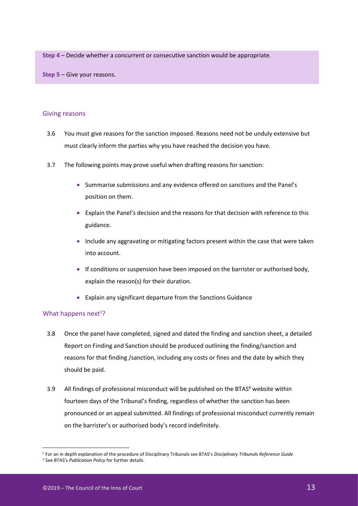**Step 4** – Decide whether a concurrent or consecutive sanction would be appropriate.

**Step 5** – Give your reasons.

#### Giving reasons

- 3.6 You must give reasons for the sanction imposed. Reasons need not be unduly extensive but must clearly inform the parties why you have reached the decision you have.
- 3.7 The following points may prove useful when drafting reasons for sanction:
	- Summarise submissions and any evidence offered on sanctions and the Panel's position on them.
	- Explain the Panel's decision and the reasons for that decision with reference to this guidance.
	- Include any aggravating or mitigating factors present within the case that were taken into account.
	- If conditions or suspension have been imposed on the barrister or authorised body, explain the reason(s) for their duration.
	- Explain any significant departure from the Sanctions Guidance

#### What happens next $5$ ?

- 3.8 Once the panel have completed, signed and dated the finding and sanction sheet, a detailed Report on Finding and Sanction should be produced outlining the finding/sanction and reasons for that finding /sanction, including any costs or fines and the date by which they should be paid.
- 3.9 All findings of professional misconduct will be published on the BTAS**<sup>6</sup>** website within fourteen days of the Tribunal's finding, regardless of whether the sanction has been pronounced or an appeal submitted. All findings of professional misconduct currently remain on the barrister's or authorised body's record indefinitely.

<sup>5</sup> For an in depth explanation of the procedure of Disciplinary Tribunals see BTAS's *Disciplinary Tribunals Reference Guide* <sup>6</sup> See BTAS's *Publication Policy* for further details.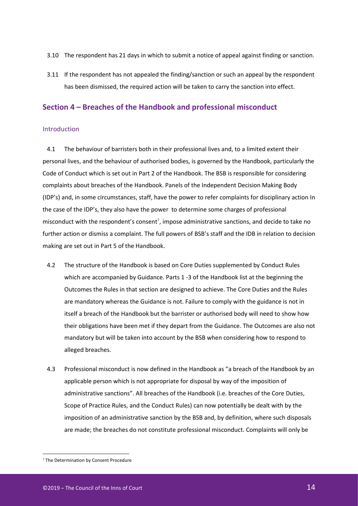- 3.10 The respondent has 21 days in which to submit a notice of appeal against finding or sanction.
- 3.11 If the respondent has not appealed the finding/sanction or such an appeal by the respondent has been dismissed, the required action will be taken to carry the sanction into effect.

## <span id="page-13-0"></span>**Section 4 – Breaches of the Handbook and professional misconduct**

#### Introduction

4.1 The behaviour of barristers both in their professional lives and, to a limited extent their personal lives, and the behaviour of authorised bodies, is governed by the Handbook, particularly the Code of Conduct which is set out in Part 2 of the Handbook. The BSB is responsible for considering complaints about breaches of the Handbook. Panels of the Independent Decision Making Body (IDP's) and, in some circumstances, staff, have the power to refer complaints for disciplinary action In the case of the IDP's, they also have the power to determine some charges of professional misconduct with the respondent's consent<sup>7</sup>, impose administrative sanctions, and decide to take no further action or dismiss a complaint. The full powers of BSB's staff and the IDB in relation to decision making are set out in Part 5 of the Handbook.

- 4.2 The structure of the Handbook is based on Core Duties supplemented by Conduct Rules which are accompanied by Guidance. Parts 1 -3 of the Handbook list at the beginning the Outcomes the Rules in that section are designed to achieve. The Core Duties and the Rules are mandatory whereas the Guidance is not. Failure to comply with the guidance is not in itself a breach of the Handbook but the barrister or authorised body will need to show how their obligations have been met if they depart from the Guidance. The Outcomes are also not mandatory but will be taken into account by the BSB when considering how to respond to alleged breaches.
- 4.3 Professional misconduct is now defined in the Handbook as "a breach of the Handbook by an applicable person which is not appropriate for disposal by way of the imposition of administrative sanctions". All breaches of the Handbook (i.e. breaches of the Core Duties, Scope of Practice Rules, and the Conduct Rules) can now potentially be dealt with by the imposition of an administrative sanction by the BSB and, by definition, where such disposals are made; the breaches do not constitute professional misconduct. Complaints will only be

<sup>7</sup> The Determination by Consent Procedure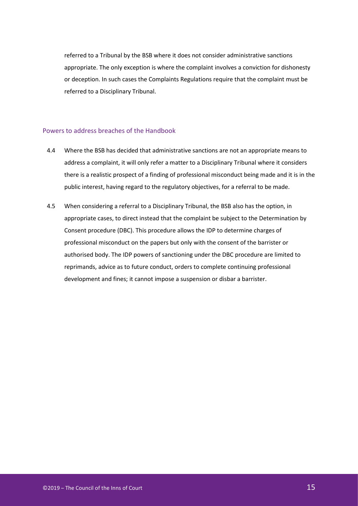referred to a Tribunal by the BSB where it does not consider administrative sanctions appropriate. The only exception is where the complaint involves a conviction for dishonesty or deception. In such cases the Complaints Regulations require that the complaint must be referred to a Disciplinary Tribunal.

#### Powers to address breaches of the Handbook

- 4.4 Where the BSB has decided that administrative sanctions are not an appropriate means to address a complaint, it will only refer a matter to a Disciplinary Tribunal where it considers there is a realistic prospect of a finding of professional misconduct being made and it is in the public interest, having regard to the regulatory objectives, for a referral to be made.
- 4.5 When considering a referral to a Disciplinary Tribunal, the BSB also has the option, in appropriate cases, to direct instead that the complaint be subject to the Determination by Consent procedure (DBC). This procedure allows the IDP to determine charges of professional misconduct on the papers but only with the consent of the barrister or authorised body. The IDP powers of sanctioning under the DBC procedure are limited to reprimands, advice as to future conduct, orders to complete continuing professional development and fines; it cannot impose a suspension or disbar a barrister.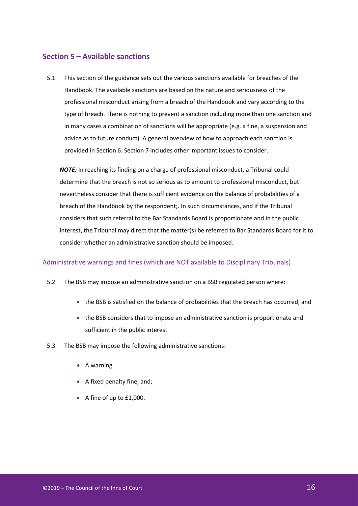## <span id="page-15-0"></span>**Section 5 – Available sanctions**

5.1 This section of the guidance sets out the various sanctions available for breaches of the Handbook. The available sanctions are based on the nature and seriousness of the professional misconduct arising from a breach of the Handbook and vary according to the type of breach. There is nothing to prevent a sanction including more than one sanction and in many cases a combination of sanctions will be appropriate (e.g. a fine, a suspension and advice as to future conduct). A general overview of how to approach each sanction is provided in Section 6. Section 7 includes other important issues to consider.

*NOTE:* In reaching its finding on a charge of professional misconduct, a Tribunal could determine that the breach is not so serious as to amount to professional misconduct, but nevertheless consider that there is sufficient evidence on the balance of probabilities of a breach of the Handbook by the respondent;. In such circumstances, and if the Tribunal considers that such referral to the Bar Standards Board is proportionate and in the public interest, the Tribunal may direct that the matter(s) be referred to Bar Standards Board for it to consider whether an administrative sanction should be imposed.

#### Administrative warnings and fines (which are NOT available to Disciplinary Tribunals)

- 5.2 The BSB may impose an administrative sanction on a BSB regulated person where:
	- the BSB is satisfied on the balance of probabilities that the breach has occurred; and
	- the BSB considers that to impose an administrative sanction is proportionate and sufficient in the public interest
- 5.3 The BSB may impose the following administrative sanctions:
	- A warning
	- A fixed penalty fine; and;
	- A fine of up to £1,000.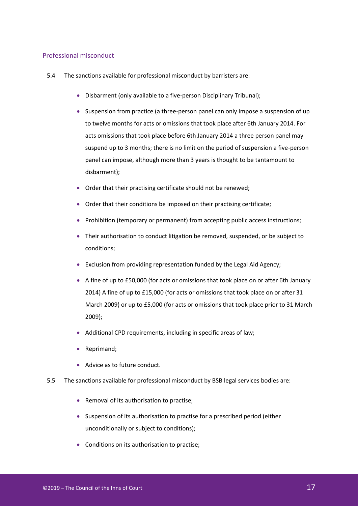#### Professional misconduct

- 5.4 The sanctions available for professional misconduct by barristers are:
	- Disbarment (only available to a five-person Disciplinary Tribunal);
	- Suspension from practice (a three-person panel can only impose a suspension of up to twelve months for acts or omissions that took place after 6th January 2014. For acts omissions that took place before 6th January 2014 a three person panel may suspend up to 3 months; there is no limit on the period of suspension a five-person panel can impose, although more than 3 years is thought to be tantamount to disbarment);
	- Order that their practising certificate should not be renewed;
	- Order that their conditions be imposed on their practising certificate;
	- Prohibition (temporary or permanent) from accepting public access instructions;
	- Their authorisation to conduct litigation be removed, suspended, or be subject to conditions;
	- Exclusion from providing representation funded by the Legal Aid Agency;
	- A fine of up to £50,000 (for acts or omissions that took place on or after 6th January 2014) A fine of up to £15,000 (for acts or omissions that took place on or after 31 March 2009) or up to £5,000 (for acts or omissions that took place prior to 31 March 2009);
	- Additional CPD requirements, including in specific areas of law;
	- Reprimand;
	- Advice as to future conduct.
- 5.5 The sanctions available for professional misconduct by BSB legal services bodies are:
	- Removal of its authorisation to practise;
	- Suspension of its authorisation to practise for a prescribed period (either unconditionally or subject to conditions);
	- Conditions on its authorisation to practise: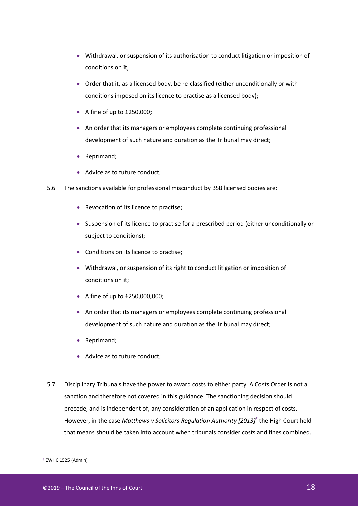- Withdrawal, or suspension of its authorisation to conduct litigation or imposition of conditions on it;
- Order that it, as a licensed body, be re-classified (either unconditionally or with conditions imposed on its licence to practise as a licensed body);
- A fine of up to £250,000;
- An order that its managers or employees complete continuing professional development of such nature and duration as the Tribunal may direct;
- Reprimand;
- Advice as to future conduct;
- 5.6 The sanctions available for professional misconduct by BSB licensed bodies are:
	- Revocation of its licence to practise;
	- Suspension of its licence to practise for a prescribed period (either unconditionally or subject to conditions);
	- Conditions on its licence to practise;
	- Withdrawal, or suspension of its right to conduct litigation or imposition of conditions on it;
	- A fine of up to £250,000,000;
	- An order that its managers or employees complete continuing professional development of such nature and duration as the Tribunal may direct;
	- Reprimand;
	- Advice as to future conduct;
- 5.7 Disciplinary Tribunals have the power to award costs to either party. A Costs Order is not a sanction and therefore not covered in this guidance. The sanctioning decision should precede, and is independent of, any consideration of an application in respect of costs. However, in the case *Matthews v Solicitors Regulation Authority [2013]<sup>8</sup>* the High Court held that means should be taken into account when tribunals consider costs and fines combined.

<sup>8</sup> EWHC 1525 (Admin)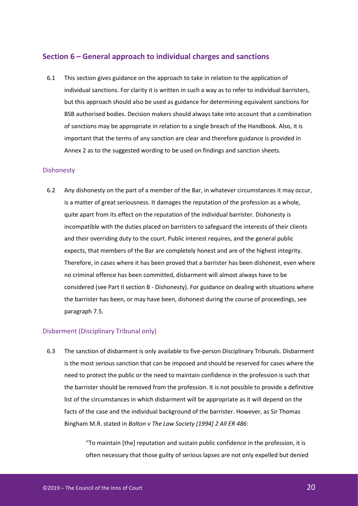## <span id="page-19-0"></span>**Section 6 – General approach to individual charges and sanctions**

6.1 This section gives guidance on the approach to take in relation to the application of individual sanctions. For clarity it is written in such a way as to refer to individual barristers, but this approach should also be used as guidance for determining equivalent sanctions for BSB authorised bodies. Decision makers should always take into account that a combination of sanctions may be appropriate in relation to a single breach of the Handbook. Also, it is important that the terms of any sanction are clear and therefore guidance is provided in Annex 2 as to the suggested wording to be used on findings and sanction sheets.

#### **Dishonesty**

6.2 Any dishonesty on the part of a member of the Bar, in whatever circumstances it may occur, is a matter of great seriousness. It damages the reputation of the profession as a whole, quite apart from its effect on the reputation of the individual barrister. Dishonesty is incompatible with the duties placed on barristers to safeguard the interests of their clients and their overriding duty to the court. Public interest requires, and the general public expects, that members of the Bar are completely honest and are of the highest integrity. Therefore, in cases where it has been proved that a barrister has been dishonest, even where no criminal offence has been committed, disbarment will almost always have to be considered (see Part II section B - Dishonesty). For guidance on dealing with situations where the barrister has been, or may have been, dishonest during the course of proceedings, see paragraph 7.5.

#### Disbarment (Disciplinary Tribunal only)

6.3 The sanction of disbarment is only available to five-person Disciplinary Tribunals. Disbarment is the most serious sanction that can be imposed and should be reserved for cases where the need to protect the public or the need to maintain confidence in the profession is such that the barrister should be removed from the profession. It is not possible to provide a definitive list of the circumstances in which disbarment will be appropriate as it will depend on the facts of the case and the individual background of the barrister. However, as Sir Thomas Bingham M.R. stated in *Bolton v The Law Society [1994] 2 All ER 486*:

> "To maintain [the] reputation and sustain public confidence in the profession, it is often necessary that those guilty of serious lapses are not only expelled but denied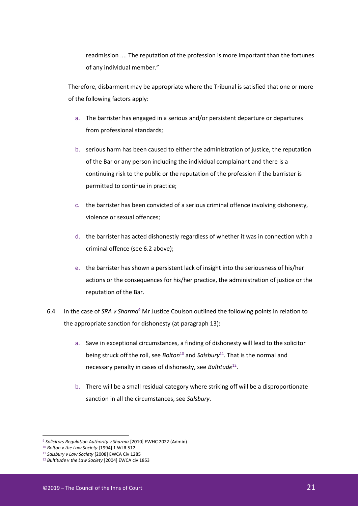readmission .... The reputation of the profession is more important than the fortunes of any individual member."

Therefore, disbarment may be appropriate where the Tribunal is satisfied that one or more of the following factors apply:

- a. The barrister has engaged in a serious and/or persistent departure or departures from professional standards;
- b. serious harm has been caused to either the administration of justice, the reputation of the Bar or any person including the individual complainant and there is a continuing risk to the public or the reputation of the profession if the barrister is permitted to continue in practice;
- c. the barrister has been convicted of a serious criminal offence involving dishonesty, violence or sexual offences;
- d. the barrister has acted dishonestly regardless of whether it was in connection with a criminal offence (see 6.2 above);
- e. the barrister has shown a persistent lack of insight into the seriousness of his/her actions or the consequences for his/her practice, the administration of justice or the reputation of the Bar.
- 6.4 In the case of *SRA v Sharma***<sup>9</sup>** Mr Justice Coulson outlined the following points in relation to the appropriate sanction for dishonesty (at paragraph 13):
	- a. Save in exceptional circumstances, a finding of dishonesty will lead to the solicitor being struck off the roll, see *Bolton*<sup>10</sup> and *Salsbury*<sup>11</sup>. That is the normal and necessary penalty in cases of dishonesty, see *Bultitude*<sup>12</sup>.
	- b. There will be a small residual category where striking off will be a disproportionate sanction in all the circumstances, see *Salsbury*.

<sup>9</sup> *Solicitors Regulation Authority v Sharma* [2010] EWHC 2022 (Admin)

<sup>10</sup> *Bolton v the Law Society* [1994] 1 WLR 512

<sup>11</sup> *Salsbury v Law Society* [2008] EWCA Civ 1285

<sup>12</sup> *Bultitude v the Law Society* [2004] EWCA civ 1853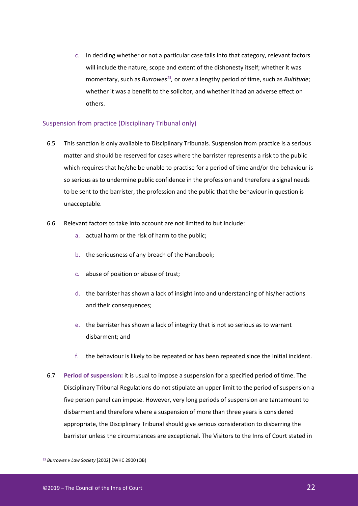c. In deciding whether or not a particular case falls into that category, relevant factors will include the nature, scope and extent of the dishonesty itself; whether it was momentary, such as *Burrowes<sup>13</sup>*, or over a lengthy period of time, such as *Bultitude*; whether it was a benefit to the solicitor, and whether it had an adverse effect on others.

#### Suspension from practice (Disciplinary Tribunal only)

- 6.5 This sanction is only available to Disciplinary Tribunals. Suspension from practice is a serious matter and should be reserved for cases where the barrister represents a risk to the public which requires that he/she be unable to practise for a period of time and/or the behaviour is so serious as to undermine public confidence in the profession and therefore a signal needs to be sent to the barrister, the profession and the public that the behaviour in question is unacceptable.
- 6.6 Relevant factors to take into account are not limited to but include:
	- a. actual harm or the risk of harm to the public;
	- b. the seriousness of any breach of the Handbook;
	- c. abuse of position or abuse of trust;
	- d. the barrister has shown a lack of insight into and understanding of his/her actions and their consequences;
	- e. the barrister has shown a lack of integrity that is not so serious as to warrant disbarment; and
	- f. the behaviour is likely to be repeated or has been repeated since the initial incident.
- 6.7 **Period of suspension:** it is usual to impose a suspension for a specified period of time. The Disciplinary Tribunal Regulations do not stipulate an upper limit to the period of suspension a five person panel can impose. However, very long periods of suspension are tantamount to disbarment and therefore where a suspension of more than three years is considered appropriate, the Disciplinary Tribunal should give serious consideration to disbarring the barrister unless the circumstances are exceptional. The Visitors to the Inns of Court stated in

<sup>13</sup> *Burrowes v Law Society* [2002] EWHC 2900 (QB)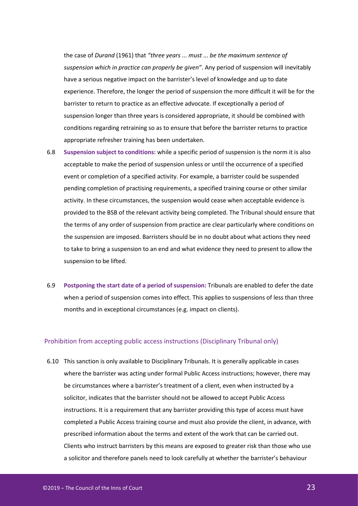the case of *Durand* (1961) that *"three years ... must ... be the maximum sentence of suspension which in practice can properly be given"*. Any period of suspension will inevitably have a serious negative impact on the barrister's level of knowledge and up to date experience. Therefore, the longer the period of suspension the more difficult it will be for the barrister to return to practice as an effective advocate. If exceptionally a period of suspension longer than three years is considered appropriate, it should be combined with conditions regarding retraining so as to ensure that before the barrister returns to practice appropriate refresher training has been undertaken.

- 6.8 **Suspension subject to conditions:** while a specific period of suspension is the norm it is also acceptable to make the period of suspension unless or until the occurrence of a specified event or completion of a specified activity. For example, a barrister could be suspended pending completion of practising requirements, a specified training course or other similar activity. In these circumstances, the suspension would cease when acceptable evidence is provided to the BSB of the relevant activity being completed. The Tribunal should ensure that the terms of any order of suspension from practice are clear particularly where conditions on the suspension are imposed. Barristers should be in no doubt about what actions they need to take to bring a suspension to an end and what evidence they need to present to allow the suspension to be lifted.
- 6.9 **Postponing the start date of a period of suspension:** Tribunals are enabled to defer the date when a period of suspension comes into effect. This applies to suspensions of less than three months and in exceptional circumstances (e.g. impact on clients).

#### Prohibition from accepting public access instructions (Disciplinary Tribunal only)

6.10 This sanction is only available to Disciplinary Tribunals. It is generally applicable in cases where the barrister was acting under formal Public Access instructions; however, there may be circumstances where a barrister's treatment of a client, even when instructed by a solicitor, indicates that the barrister should not be allowed to accept Public Access instructions. It is a requirement that any barrister providing this type of access must have completed a Public Access training course and must also provide the client, in advance, with prescribed information about the terms and extent of the work that can be carried out. Clients who instruct barristers by this means are exposed to greater risk than those who use a solicitor and therefore panels need to look carefully at whether the barrister's behaviour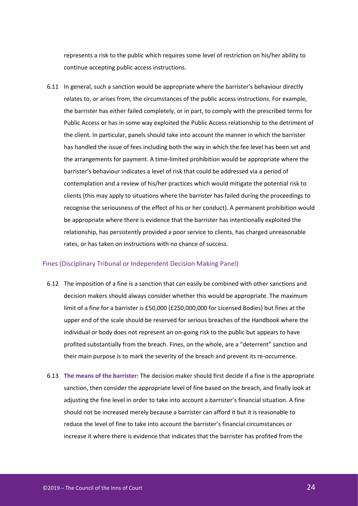represents a risk to the public which requires some level of restriction on his/her ability to continue accepting public access instructions.

6.11 In general, such a sanction would be appropriate where the barrister's behaviour directly relates to, or arises from, the circumstances of the public access instructions. For example, the barrister has either failed completely, or in part, to comply with the prescribed terms for Public Access or has in some way exploited the Public Access relationship to the detriment of the client. In particular, panels should take into account the manner in which the barrister has handled the issue of fees including both the way in which the fee level has been set and the arrangements for payment. A time-limited prohibition would be appropriate where the barrister's behaviour indicates a level of risk that could be addressed via a period of contemplation and a review of his/her practices which would mitigate the potential risk to clients (this may apply to situations where the barrister has failed during the proceedings to recognise the seriousness of the effect of his or her conduct). A permanent prohibition would be appropriate where there is evidence that the barrister has intentionally exploited the relationship, has persistently provided a poor service to clients, has charged unreasonable rates, or has taken on instructions with no chance of success.

#### Fines (Disciplinary Tribunal or Independent Decision Making Panel)

- 6.12 The imposition of a fine is a sanction that can easily be combined with other sanctions and decision makers should always consider whether this would be appropriate. The maximum limit of a fine for a barrister is £50,000 (£250,000,000 for Licensed Bodies) but fines at the upper end of the scale should be reserved for serious breaches of the Handbook where the individual or body does not represent an on-going risk to the public but appears to have profited substantially from the breach. Fines, on the whole, are a "deterrent" sanction and their main purpose is to mark the severity of the breach and prevent its re-occurrence.
- 6.13 **The means of the barrister:** The decision maker should first decide if a fine is the appropriate sanction, then consider the appropriate level of fine based on the breach, and finally look at adjusting the fine level in order to take into account a barrister's financial situation. A fine should not be increased merely because a barrister can afford it but it is reasonable to reduce the level of fine to take into account the barrister's financial circumstances or increase it where there is evidence that indicates that the barrister has profited from the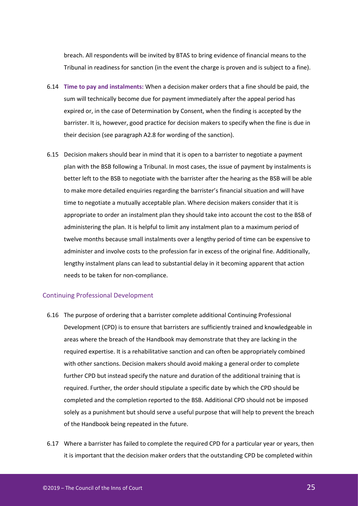breach. All respondents will be invited by BTAS to bring evidence of financial means to the Tribunal in readiness for sanction (in the event the charge is proven and is subject to a fine).

- 6.14 **Time to pay and instalments:** When a decision maker orders that a fine should be paid, the sum will technically become due for payment immediately after the appeal period has expired or, in the case of Determination by Consent, when the finding is accepted by the barrister. It is, however, good practice for decision makers to specify when the fine is due in their decision (see paragraph A2.8 for wording of the sanction).
- 6.15 Decision makers should bear in mind that it is open to a barrister to negotiate a payment plan with the BSB following a Tribunal. In most cases, the issue of payment by instalments is better left to the BSB to negotiate with the barrister after the hearing as the BSB will be able to make more detailed enquiries regarding the barrister's financial situation and will have time to negotiate a mutually acceptable plan. Where decision makers consider that it is appropriate to order an instalment plan they should take into account the cost to the BSB of administering the plan. It is helpful to limit any instalment plan to a maximum period of twelve months because small instalments over a lengthy period of time can be expensive to administer and involve costs to the profession far in excess of the original fine. Additionally, lengthy instalment plans can lead to substantial delay in it becoming apparent that action needs to be taken for non-compliance.

#### Continuing Professional Development

- 6.16 The purpose of ordering that a barrister complete additional Continuing Professional Development (CPD) is to ensure that barristers are sufficiently trained and knowledgeable in areas where the breach of the Handbook may demonstrate that they are lacking in the required expertise. It is a rehabilitative sanction and can often be appropriately combined with other sanctions. Decision makers should avoid making a general order to complete further CPD but instead specify the nature and duration of the additional training that is required. Further, the order should stipulate a specific date by which the CPD should be completed and the completion reported to the BSB. Additional CPD should not be imposed solely as a punishment but should serve a useful purpose that will help to prevent the breach of the Handbook being repeated in the future.
- 6.17 Where a barrister has failed to complete the required CPD for a particular year or years, then it is important that the decision maker orders that the outstanding CPD be completed within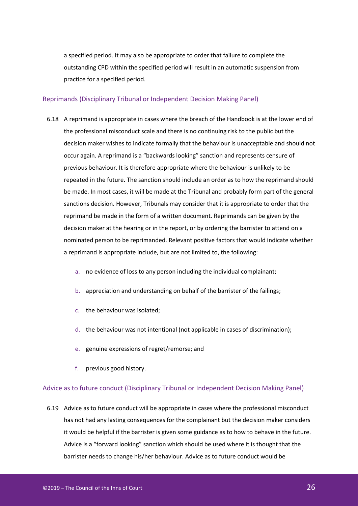a specified period. It may also be appropriate to order that failure to complete the outstanding CPD within the specified period will result in an automatic suspension from practice for a specified period.

#### Reprimands (Disciplinary Tribunal or Independent Decision Making Panel)

- 6.18 A reprimand is appropriate in cases where the breach of the Handbook is at the lower end of the professional misconduct scale and there is no continuing risk to the public but the decision maker wishes to indicate formally that the behaviour is unacceptable and should not occur again. A reprimand is a "backwards looking" sanction and represents censure of previous behaviour. It is therefore appropriate where the behaviour is unlikely to be repeated in the future. The sanction should include an order as to how the reprimand should be made. In most cases, it will be made at the Tribunal and probably form part of the general sanctions decision. However, Tribunals may consider that it is appropriate to order that the reprimand be made in the form of a written document. Reprimands can be given by the decision maker at the hearing or in the report, or by ordering the barrister to attend on a nominated person to be reprimanded. Relevant positive factors that would indicate whether a reprimand is appropriate include, but are not limited to, the following:
	- a. no evidence of loss to any person including the individual complainant;
	- b. appreciation and understanding on behalf of the barrister of the failings;
	- c. the behaviour was isolated;
	- d. the behaviour was not intentional (not applicable in cases of discrimination);
	- e. genuine expressions of regret/remorse; and
	- f. previous good history.

#### Advice as to future conduct (Disciplinary Tribunal or Independent Decision Making Panel)

6.19 Advice as to future conduct will be appropriate in cases where the professional misconduct has not had any lasting consequences for the complainant but the decision maker considers it would be helpful if the barrister is given some guidance as to how to behave in the future. Advice is a "forward looking" sanction which should be used where it is thought that the barrister needs to change his/her behaviour. Advice as to future conduct would be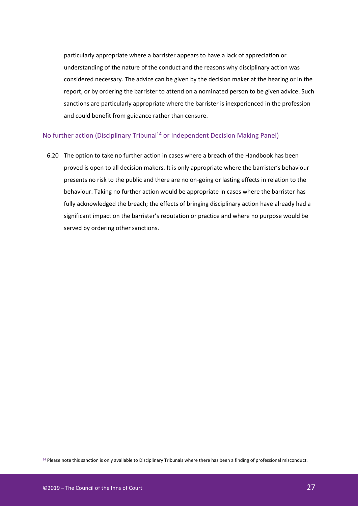particularly appropriate where a barrister appears to have a lack of appreciation or understanding of the nature of the conduct and the reasons why disciplinary action was considered necessary. The advice can be given by the decision maker at the hearing or in the report, or by ordering the barrister to attend on a nominated person to be given advice. Such sanctions are particularly appropriate where the barrister is inexperienced in the profession and could benefit from guidance rather than censure.

#### No further action (Disciplinary Tribunal<sup>14</sup> or Independent Decision Making Panel)

6.20 The option to take no further action in cases where a breach of the Handbook has been proved is open to all decision makers. It is only appropriate where the barrister's behaviour presents no risk to the public and there are no on-going or lasting effects in relation to the behaviour. Taking no further action would be appropriate in cases where the barrister has fully acknowledged the breach; the effects of bringing disciplinary action have already had a significant impact on the barrister's reputation or practice and where no purpose would be served by ordering other sanctions.

<sup>&</sup>lt;sup>14</sup> Please note this sanction is only available to Disciplinary Tribunals where there has been a finding of professional misconduct.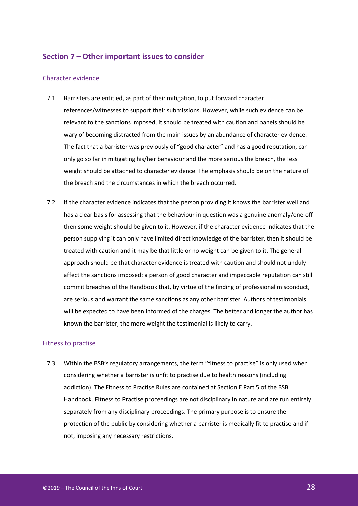## <span id="page-27-0"></span>**Section 7 – Other important issues to consider**

#### Character evidence

- 7.1 Barristers are entitled, as part of their mitigation, to put forward character references/witnesses to support their submissions. However, while such evidence can be relevant to the sanctions imposed, it should be treated with caution and panels should be wary of becoming distracted from the main issues by an abundance of character evidence. The fact that a barrister was previously of "good character" and has a good reputation, can only go so far in mitigating his/her behaviour and the more serious the breach, the less weight should be attached to character evidence. The emphasis should be on the nature of the breach and the circumstances in which the breach occurred.
- 7.2 If the character evidence indicates that the person providing it knows the barrister well and has a clear basis for assessing that the behaviour in question was a genuine anomaly/one-off then some weight should be given to it. However, if the character evidence indicates that the person supplying it can only have limited direct knowledge of the barrister, then it should be treated with caution and it may be that little or no weight can be given to it. The general approach should be that character evidence is treated with caution and should not unduly affect the sanctions imposed: a person of good character and impeccable reputation can still commit breaches of the Handbook that, by virtue of the finding of professional misconduct, are serious and warrant the same sanctions as any other barrister. Authors of testimonials will be expected to have been informed of the charges. The better and longer the author has known the barrister, the more weight the testimonial is likely to carry.

#### Fitness to practise

7.3 Within the BSB's regulatory arrangements, the term "fitness to practise" is only used when considering whether a barrister is unfit to practise due to health reasons (including addiction). The Fitness to Practise Rules are contained at Section E Part 5 of the BSB Handbook. Fitness to Practise proceedings are not disciplinary in nature and are run entirely separately from any disciplinary proceedings. The primary purpose is to ensure the protection of the public by considering whether a barrister is medically fit to practise and if not, imposing any necessary restrictions.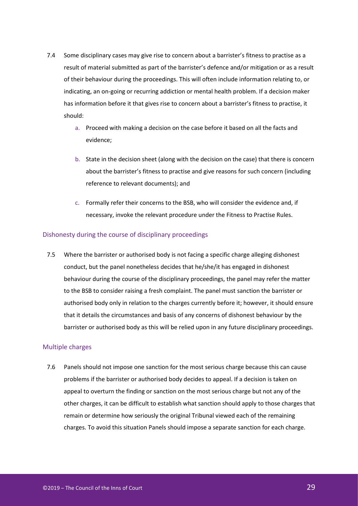- 7.4 Some disciplinary cases may give rise to concern about a barrister's fitness to practise as a result of material submitted as part of the barrister's defence and/or mitigation or as a result of their behaviour during the proceedings. This will often include information relating to, or indicating, an on-going or recurring addiction or mental health problem. If a decision maker has information before it that gives rise to concern about a barrister's fitness to practise, it should:
	- a. Proceed with making a decision on the case before it based on all the facts and evidence;
	- b. State in the decision sheet (along with the decision on the case) that there is concern about the barrister's fitness to practise and give reasons for such concern (including reference to relevant documents); and
	- c. Formally refer their concerns to the BSB, who will consider the evidence and, if necessary, invoke the relevant procedure under the Fitness to Practise Rules.

#### Dishonesty during the course of disciplinary proceedings

7.5 Where the barrister or authorised body is not facing a specific charge alleging dishonest conduct, but the panel nonetheless decides that he/she/it has engaged in dishonest behaviour during the course of the disciplinary proceedings, the panel may refer the matter to the BSB to consider raising a fresh complaint. The panel must sanction the barrister or authorised body only in relation to the charges currently before it; however, it should ensure that it details the circumstances and basis of any concerns of dishonest behaviour by the barrister or authorised body as this will be relied upon in any future disciplinary proceedings.

#### Multiple charges

7.6 Panels should not impose one sanction for the most serious charge because this can cause problems if the barrister or authorised body decides to appeal. If a decision is taken on appeal to overturn the finding or sanction on the most serious charge but not any of the other charges, it can be difficult to establish what sanction should apply to those charges that remain or determine how seriously the original Tribunal viewed each of the remaining charges. To avoid this situation Panels should impose a separate sanction for each charge.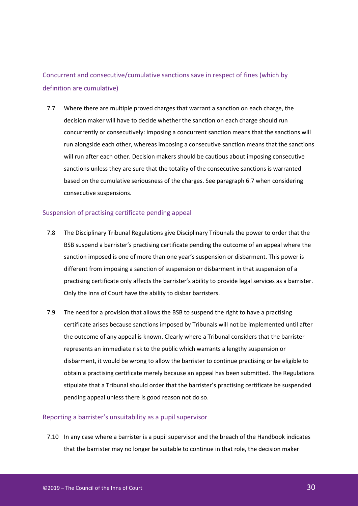# Concurrent and consecutive/cumulative sanctions save in respect of fines (which by definition are cumulative)

7.7 Where there are multiple proved charges that warrant a sanction on each charge, the decision maker will have to decide whether the sanction on each charge should run concurrently or consecutively: imposing a concurrent sanction means that the sanctions will run alongside each other, whereas imposing a consecutive sanction means that the sanctions will run after each other. Decision makers should be cautious about imposing consecutive sanctions unless they are sure that the totality of the consecutive sanctions is warranted based on the cumulative seriousness of the charges. See paragraph 6.7 when considering consecutive suspensions.

#### Suspension of practising certificate pending appeal

- 7.8 The Disciplinary Tribunal Regulations give Disciplinary Tribunals the power to order that the BSB suspend a barrister's practising certificate pending the outcome of an appeal where the sanction imposed is one of more than one year's suspension or disbarment. This power is different from imposing a sanction of suspension or disbarment in that suspension of a practising certificate only affects the barrister's ability to provide legal services as a barrister. Only the Inns of Court have the ability to disbar barristers.
- 7.9 The need for a provision that allows the BSB to suspend the right to have a practising certificate arises because sanctions imposed by Tribunals will not be implemented until after the outcome of any appeal is known. Clearly where a Tribunal considers that the barrister represents an immediate risk to the public which warrants a lengthy suspension or disbarment, it would be wrong to allow the barrister to continue practising or be eligible to obtain a practising certificate merely because an appeal has been submitted. The Regulations stipulate that a Tribunal should order that the barrister's practising certificate be suspended pending appeal unless there is good reason not do so.

#### Reporting a barrister's unsuitability as a pupil supervisor

7.10 In any case where a barrister is a pupil supervisor and the breach of the Handbook indicates that the barrister may no longer be suitable to continue in that role, the decision maker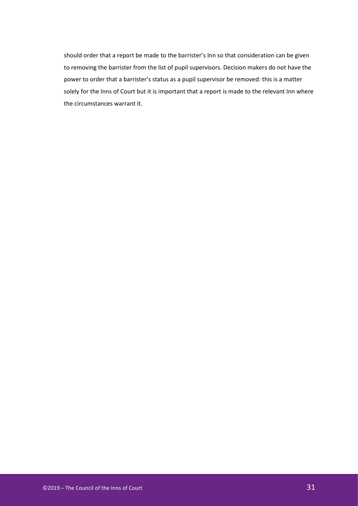should order that a report be made to the barrister's Inn so that consideration can be given to removing the barrister from the list of pupil supervisors. Decision makers do not have the power to order that a barrister's status as a pupil supervisor be removed: this is a matter solely for the Inns of Court but it is important that a report is made to the relevant Inn where the circumstances warrant it.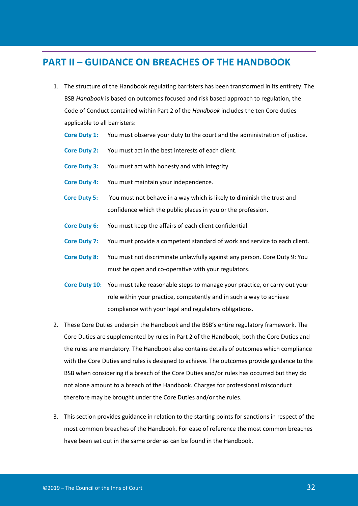# <span id="page-31-0"></span>**PART II – GUIDANCE ON BREACHES OF THE HANDBOOK**

- 1. The structure of the Handbook regulating barristers has been transformed in its entirety. The BSB *Handbook* is based on outcomes focused and risk based approach to regulation, the Code of Conduct contained within Part 2 of the *Handbook* includes the ten Core duties applicable to all barristers:
	- **Core Duty 1:** You must observe your duty to the court and the administration of justice.
	- **Core Duty 2:** You must act in the best interests of each client.
	- **Core Duty 3:** You must act with honesty and with integrity.
	- **Core Duty 4:** You must maintain your independence.
	- **Core Duty 5:** You must not behave in a way which is likely to diminish the trust and confidence which the public places in you or the profession.
	- **Core Duty 6:** You must keep the affairs of each client confidential.
	- **Core Duty 7:** You must provide a competent standard of work and service to each client.
	- **Core Duty 8:** You must not discriminate unlawfully against any person. Core Duty 9: You must be open and co-operative with your regulators.
	- **Core Duty 10:** You must take reasonable steps to manage your practice, or carry out your role within your practice, competently and in such a way to achieve compliance with your legal and regulatory obligations.
- 2. These Core Duties underpin the Handbook and the BSB's entire regulatory framework. The Core Duties are supplemented by rules in Part 2 of the Handbook, both the Core Duties and the rules are mandatory. The Handbook also contains details of outcomes which compliance with the Core Duties and rules is designed to achieve. The outcomes provide guidance to the BSB when considering if a breach of the Core Duties and/or rules has occurred but they do not alone amount to a breach of the Handbook. Charges for professional misconduct therefore may be brought under the Core Duties and/or the rules.
- 3. This section provides guidance in relation to the starting points for sanctions in respect of the most common breaches of the Handbook. For ease of reference the most common breaches have been set out in the same order as can be found in the Handbook.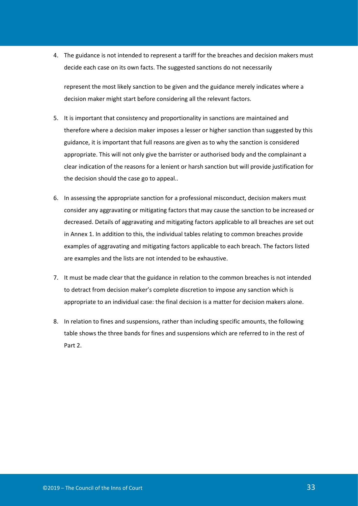4. The guidance is not intended to represent a tariff for the breaches and decision makers must decide each case on its own facts. The suggested sanctions do not necessarily

represent the most likely sanction to be given and the guidance merely indicates where a decision maker might start before considering all the relevant factors.

- 5. It is important that consistency and proportionality in sanctions are maintained and therefore where a decision maker imposes a lesser or higher sanction than suggested by this guidance, it is important that full reasons are given as to why the sanction is considered appropriate. This will not only give the barrister or authorised body and the complainant a clear indication of the reasons for a lenient or harsh sanction but will provide justification for the decision should the case go to appeal..
- 6. In assessing the appropriate sanction for a professional misconduct, decision makers must consider any aggravating or mitigating factors that may cause the sanction to be increased or decreased. Details of aggravating and mitigating factors applicable to all breaches are set out in Annex 1. In addition to this, the individual tables relating to common breaches provide examples of aggravating and mitigating factors applicable to each breach. The factors listed are examples and the lists are not intended to be exhaustive.
- 7. It must be made clear that the guidance in relation to the common breaches is not intended to detract from decision maker's complete discretion to impose any sanction which is appropriate to an individual case: the final decision is a matter for decision makers alone.
- 8. In relation to fines and suspensions, rather than including specific amounts, the following table shows the three bands for fines and suspensions which are referred to in the rest of Part 2.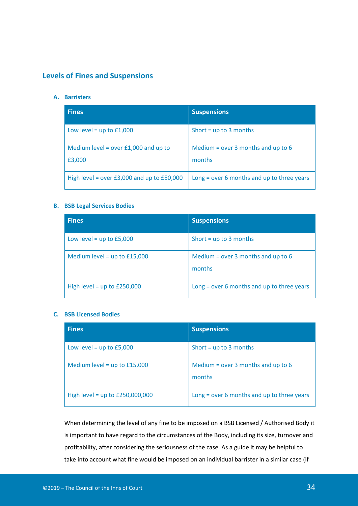# <span id="page-33-0"></span>**Levels of Fines and Suspensions**

#### **A. Barristers**

| <b>Fines</b>                                   | <b>Suspensions</b>                           |
|------------------------------------------------|----------------------------------------------|
| Low level = $up$ to £1,000                     | Short = $up$ to 3 months                     |
| Medium level = over $£1,000$ and up to         | Medium = over 3 months and up to 6           |
| £3,000                                         | months                                       |
| High level = over $£3,000$ and up to $£50,000$ | Long $=$ over 6 months and up to three years |

#### **B. BSB Legal Services Bodies**

| <b>Fines</b>                   | <b>Suspensions</b>                           |
|--------------------------------|----------------------------------------------|
| Low level = $up$ to £5,000     | Short = $up$ to 3 months                     |
| Medium level = $up$ to £15,000 | Medium = over 3 months and up to 6<br>months |
| High level = $up$ to £250,000  | Long $=$ over 6 months and up to three years |

### **C. BSB Licensed Bodies**

| <b>Fines</b>                    | <b>Suspensions</b>                           |
|---------------------------------|----------------------------------------------|
| Low level = $up$ to £5,000      | Short = $up$ to 3 months                     |
| Medium level = $up$ to £15,000  | Medium = over 3 months and up to 6<br>months |
| High level = up to £250,000,000 | Long $=$ over 6 months and up to three years |

When determining the level of any fine to be imposed on a BSB Licensed / Authorised Body it is important to have regard to the circumstances of the Body, including its size, turnover and profitability, after considering the seriousness of the case. As a guide it may be helpful to take into account what fine would be imposed on an individual barrister in a similar case (if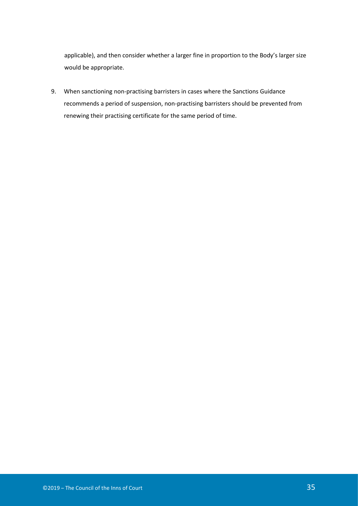applicable), and then consider whether a larger fine in proportion to the Body's larger size would be appropriate.

9. When sanctioning non-practising barristers in cases where the Sanctions Guidance recommends a period of suspension, non-practising barristers should be prevented from renewing their practising certificate for the same period of time.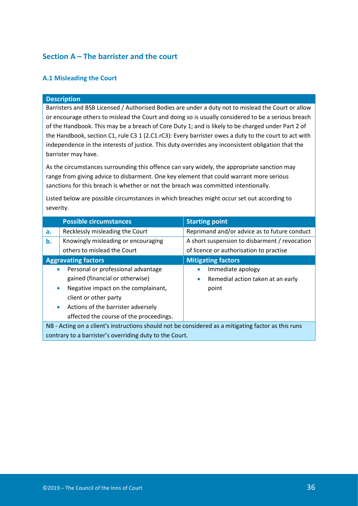# <span id="page-35-0"></span>**Section A – The barrister and the court**

#### <span id="page-35-1"></span>**A.1 Misleading the Court**

#### **Description**

Barristers and BSB Licensed / Authorised Bodies are under a duty not to mislead the Court or allow or encourage others to mislead the Court and doing so is usually considered to be a serious breach of the Handbook. This may be a breach of Core Duty 1; and is likely to be charged under Part 2 of the Handbook, section C1, rule C3 1 (2.C1.rC3): Every barrister owes a duty to the court to act with independence in the interests of justice. This duty overrides any inconsistent obligation that the barrister may have.

As the circumstances surrounding this offence can vary widely, the appropriate sanction may range from giving advice to disbarment. One key element that could warrant more serious sanctions for this breach is whether or not the breach was committed intentionally.

Listed below are possible circumstances in which breaches might occur set out according to severity.

|                                                                                                                                                                | <b>Possible circumstances</b>                                                                                | <b>Starting point</b>                                                        |  |
|----------------------------------------------------------------------------------------------------------------------------------------------------------------|--------------------------------------------------------------------------------------------------------------|------------------------------------------------------------------------------|--|
| a.                                                                                                                                                             | Recklessly misleading the Court                                                                              | Reprimand and/or advice as to future conduct                                 |  |
| b.                                                                                                                                                             | Knowingly misleading or encouraging                                                                          | A short suspension to disbarment / revocation                                |  |
|                                                                                                                                                                | others to mislead the Court                                                                                  | of licence or authorisation to practise                                      |  |
| <b>Aggravating factors</b>                                                                                                                                     |                                                                                                              | <b>Mitigating factors</b>                                                    |  |
| $\bullet$<br>۰                                                                                                                                                 | Personal or professional advantage<br>gained (financial or otherwise)<br>Negative impact on the complainant, | Immediate apology<br>Remedial action taken at an early<br>$\bullet$<br>point |  |
| $\bullet$                                                                                                                                                      | client or other party<br>Actions of the barrister adversely<br>affected the course of the proceedings.       |                                                                              |  |
| NB - Acting on a client's instructions should not be considered as a mitigating factor as this runs<br>contrary to a barrister's overriding duty to the Court. |                                                                                                              |                                                                              |  |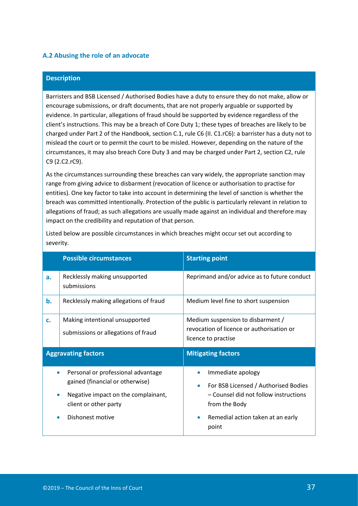## **A.2 Abusing the role of an advocate**

# **Description**

Barristers and BSB Licensed / Authorised Bodies have a duty to ensure they do not make, allow or encourage submissions, or draft documents, that are not properly arguable or supported by evidence. In particular, allegations of fraud should be supported by evidence regardless of the client's instructions. This may be a breach of Core Duty 1; these types of breaches are likely to be charged under Part 2 of the Handbook, section C.1, rule C6 (II. C1.rC6): a barrister has a duty not to mislead the court or to permit the court to be misled. However, depending on the nature of the circumstances, it may also breach Core Duty 3 and may be charged under Part 2, section C2, rule C9 (2.C2.rC9).

As the circumstances surrounding these breaches can vary widely, the appropriate sanction may range from giving advice to disbarment (revocation of licence or authorisation to practise for entities). One key factor to take into account in determining the level of sanction is whether the breach was committed intentionally. Protection of the public is particularly relevant in relation to allegations of fraud; as such allegations are usually made against an individual and therefore may impact on the credibility and reputation of that person.

|    | <b>Possible circumstances</b>                                                                                                                             | <b>Starting point</b>                                                                                                                                             |
|----|-----------------------------------------------------------------------------------------------------------------------------------------------------------|-------------------------------------------------------------------------------------------------------------------------------------------------------------------|
| a. | Recklessly making unsupported<br>submissions                                                                                                              | Reprimand and/or advice as to future conduct                                                                                                                      |
| b. | Recklessly making allegations of fraud                                                                                                                    | Medium level fine to short suspension                                                                                                                             |
| c. | Making intentional unsupported<br>submissions or allegations of fraud                                                                                     | Medium suspension to disbarment /<br>revocation of licence or authorisation or<br>licence to practise                                                             |
|    | <b>Aggravating factors</b>                                                                                                                                | <b>Mitigating factors</b>                                                                                                                                         |
|    | Personal or professional advantage<br>gained (financial or otherwise)<br>Negative impact on the complainant,<br>client or other party<br>Dishonest motive | Immediate apology<br>For BSB Licensed / Authorised Bodies<br>- Counsel did not follow instructions<br>from the Body<br>Remedial action taken at an early<br>point |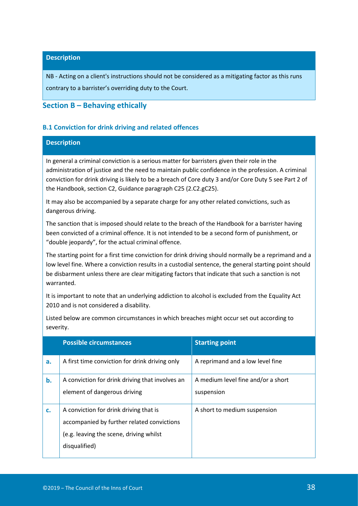NB - Acting on a client's instructions should not be considered as a mitigating factor as this runs

contrary to a barrister's overriding duty to the Court.

# **Section B – Behaving ethically**

#### **B.1 Conviction for drink driving and related offences**

#### **Description**

In general a criminal conviction is a serious matter for barristers given their role in the administration of justice and the need to maintain public confidence in the profession. A criminal conviction for drink driving is likely to be a breach of Core duty 3 and/or Core Duty 5 see Part 2 of the Handbook, section C2, Guidance paragraph C25 (2.C2.gC25).

It may also be accompanied by a separate charge for any other related convictions, such as dangerous driving.

The sanction that is imposed should relate to the breach of the Handbook for a barrister having been convicted of a criminal offence. It is not intended to be a second form of punishment, or "double jeopardy", for the actual criminal offence.

The starting point for a first time conviction for drink driving should normally be a reprimand and a low level fine. Where a conviction results in a custodial sentence, the general starting point should be disbarment unless there are clear mitigating factors that indicate that such a sanction is not warranted.

It is important to note that an underlying addiction to alcohol is excluded from the Equality Act 2010 and is not considered a disability.

|    | <b>Possible circumstances</b>                                                                                                                    | <b>Starting point</b>                            |
|----|--------------------------------------------------------------------------------------------------------------------------------------------------|--------------------------------------------------|
| a. | A first time conviction for drink driving only                                                                                                   | A reprimand and a low level fine                 |
| b. | A conviction for drink driving that involves an<br>element of dangerous driving                                                                  | A medium level fine and/or a short<br>suspension |
| c. | A conviction for drink driving that is<br>accompanied by further related convictions<br>(e.g. leaving the scene, driving whilst<br>disqualified) | A short to medium suspension                     |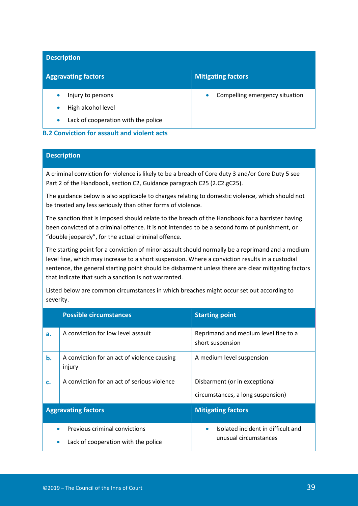# **Aggravating factors Mitigating factors Mitigating factors**

• Compelling emergency situation

- Injury to persons
- High alcohol level
- Lack of cooperation with the police

#### **B.2 Conviction for assault and violent acts**

#### **Description**

A criminal conviction for violence is likely to be a breach of Core duty 3 and/or Core Duty 5 see Part 2 of the Handbook, section C2, Guidance paragraph C25 (2.C2.gC25).

The guidance below is also applicable to charges relating to domestic violence, which should not be treated any less seriously than other forms of violence.

The sanction that is imposed should relate to the breach of the Handbook for a barrister having been convicted of a criminal offence. It is not intended to be a second form of punishment, or "double jeopardy", for the actual criminal offence.

The starting point for a conviction of minor assault should normally be a reprimand and a medium level fine, which may increase to a short suspension. Where a conviction results in a custodial sentence, the general starting point should be disbarment unless there are clear mitigating factors that indicate that such a sanction is not warranted.

|    | <b>Possible circumstances</b>                                        | <b>Starting point</b>                                                    |
|----|----------------------------------------------------------------------|--------------------------------------------------------------------------|
| a. | A conviction for low level assault                                   | Reprimand and medium level fine to a<br>short suspension                 |
| b. | A conviction for an act of violence causing<br>injury                | A medium level suspension                                                |
| c. | A conviction for an act of serious violence                          | Disbarment (or in exceptional<br>circumstances, a long suspension)       |
|    | <b>Aggravating factors</b>                                           | <b>Mitigating factors</b>                                                |
|    | Previous criminal convictions<br>Lack of cooperation with the police | Isolated incident in difficult and<br>$\bullet$<br>unusual circumstances |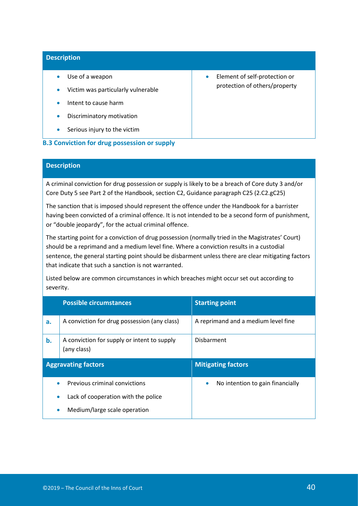- Use of a weapon
- Victim was particularly vulnerable
- Intent to cause harm
- Discriminatory motivation
- Serious injury to the victim

#### **B.3 Conviction for drug possession or supply**

# • Element of self-protection or protection of others/property

# **Description**

A criminal conviction for drug possession or supply is likely to be a breach of Core duty 3 and/or Core Duty 5 see Part 2 of the Handbook, section C2, Guidance paragraph C25 (2.C2.gC25)

The sanction that is imposed should represent the offence under the Handbook for a barrister having been convicted of a criminal offence. It is not intended to be a second form of punishment, or "double jeopardy", for the actual criminal offence.

The starting point for a conviction of drug possession (normally tried in the Magistrates' Court) should be a reprimand and a medium level fine. Where a conviction results in a custodial sentence, the general starting point should be disbarment unless there are clear mitigating factors that indicate that such a sanction is not warranted.

|    | <b>Possible circumstances</b>                              | <b>Starting point</b>               |
|----|------------------------------------------------------------|-------------------------------------|
| a. | A conviction for drug possession (any class)               | A reprimand and a medium level fine |
| b. | A conviction for supply or intent to supply<br>(any class) | <b>Disbarment</b>                   |
|    |                                                            |                                     |
|    | <b>Aggravating factors</b>                                 | <b>Mitigating factors</b>           |
|    | Previous criminal convictions                              | No intention to gain financially    |
|    | Lack of cooperation with the police                        |                                     |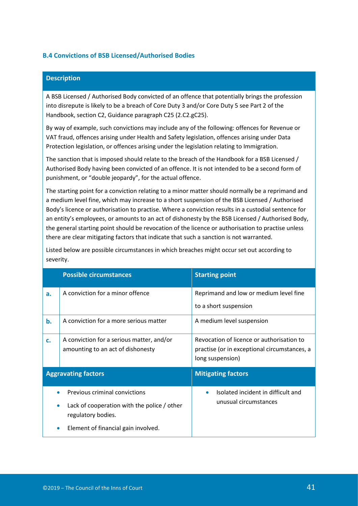#### **B.4 Convictions of BSB Licensed/Authorised Bodies**

# **Description**

A BSB Licensed / Authorised Body convicted of an offence that potentially brings the profession into disrepute is likely to be a breach of Core Duty 3 and/or Core Duty 5 see Part 2 of the Handbook, section C2, Guidance paragraph C25 (2.C2.gC25).

By way of example, such convictions may include any of the following: offences for Revenue or VAT fraud, offences arising under Health and Safety legislation, offences arising under Data Protection legislation, or offences arising under the legislation relating to Immigration.

The sanction that is imposed should relate to the breach of the Handbook for a BSB Licensed / Authorised Body having been convicted of an offence. It is not intended to be a second form of punishment, or "double jeopardy", for the actual offence.

The starting point for a conviction relating to a minor matter should normally be a reprimand and a medium level fine, which may increase to a short suspension of the BSB Licensed / Authorised Body's licence or authorisation to practise. Where a conviction results in a custodial sentence for an entity's employees, or amounts to an act of dishonesty by the BSB Licensed / Authorised Body, the general starting point should be revocation of the licence or authorisation to practise unless there are clear mitigating factors that indicate that such a sanction is not warranted.

|    | <b>Possible circumstances</b>                                                  | <b>Starting point</b>                                                                                         |
|----|--------------------------------------------------------------------------------|---------------------------------------------------------------------------------------------------------------|
| a. | A conviction for a minor offence                                               | Reprimand and low or medium level fine                                                                        |
|    |                                                                                | to a short suspension                                                                                         |
| b. | A conviction for a more serious matter                                         | A medium level suspension                                                                                     |
| c. | A conviction for a serious matter, and/or<br>amounting to an act of dishonesty | Revocation of licence or authorisation to<br>practise (or in exceptional circumstances, a<br>long suspension) |
|    | <b>Aggravating factors</b>                                                     | <b>Mitigating factors</b>                                                                                     |
|    | Previous criminal convictions                                                  | Isolated incident in difficult and                                                                            |
|    | Lack of cooperation with the police / other<br>regulatory bodies.              | unusual circumstances                                                                                         |
|    | Element of financial gain involved.                                            |                                                                                                               |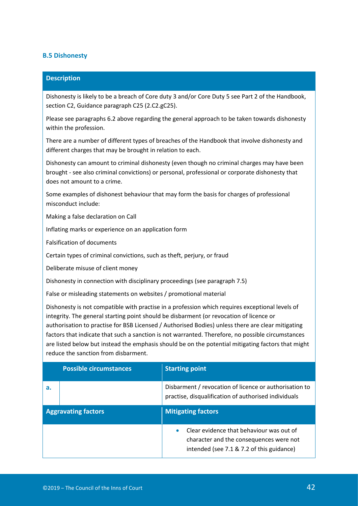#### **B.5 Dishonesty**

# **Description**

Dishonesty is likely to be a breach of Core duty 3 and/or Core Duty 5 see Part 2 of the Handbook, section C2, Guidance paragraph C25 (2.C2.gC25).

Please see paragraphs 6.2 above regarding the general approach to be taken towards dishonesty within the profession.

There are a number of different types of breaches of the Handbook that involve dishonesty and different charges that may be brought in relation to each.

Dishonesty can amount to criminal dishonesty (even though no criminal charges may have been brought - see also criminal convictions) or personal, professional or corporate dishonesty that does not amount to a crime.

Some examples of dishonest behaviour that may form the basis for charges of professional misconduct include:

Making a false declaration on Call

Inflating marks or experience on an application form

Falsification of documents

Certain types of criminal convictions, such as theft, perjury, or fraud

Deliberate misuse of client money

Dishonesty in connection with disciplinary proceedings (see paragraph 7.5)

False or misleading statements on websites / promotional material

Dishonesty is not compatible with practise in a profession which requires exceptional levels of integrity. The general starting point should be disbarment (or revocation of licence or authorisation to practise for BSB Licensed / Authorised Bodies) unless there are clear mitigating factors that indicate that such a sanction is not warranted. Therefore, no possible circumstances are listed below but instead the emphasis should be on the potential mitigating factors that might reduce the sanction from disbarment.

|                            | <b>Possible circumstances</b> | <b>Starting point</b>                                                                                          |
|----------------------------|-------------------------------|----------------------------------------------------------------------------------------------------------------|
| а.                         |                               | Disbarment / revocation of licence or authorisation to<br>practise, disqualification of authorised individuals |
| <b>Aggravating factors</b> |                               | <b>Mitigating factors</b>                                                                                      |
|                            |                               |                                                                                                                |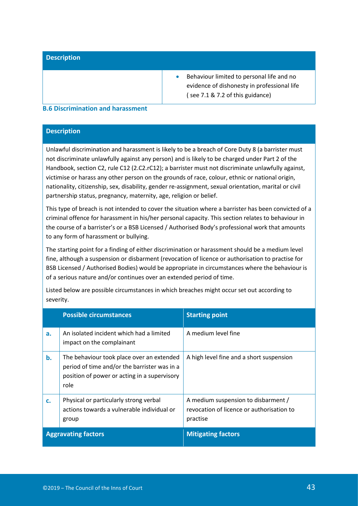| <b>Description</b> |                                                                                                                              |
|--------------------|------------------------------------------------------------------------------------------------------------------------------|
|                    | Behaviour limited to personal life and no<br>evidence of dishonesty in professional life<br>(see 7.1 & 7.2 of this guidance) |

#### **B.6 Discrimination and harassment**

#### **Description**

Unlawful discrimination and harassment is likely to be a breach of Core Duty 8 (a barrister must not discriminate unlawfully against any person) and is likely to be charged under Part 2 of the Handbook, section C2, rule C12 (2.C2.rC12); a barrister must not discriminate unlawfully against, victimise or harass any other person on the grounds of race, colour, ethnic or national origin, nationality, citizenship, sex, disability, gender re-assignment, sexual orientation, marital or civil partnership status, pregnancy, maternity, age, religion or belief.

This type of breach is not intended to cover the situation where a barrister has been convicted of a criminal offence for harassment in his/her personal capacity. This section relates to behaviour in the course of a barrister's or a BSB Licensed / Authorised Body's professional work that amounts to any form of harassment or bullying.

The starting point for a finding of either discrimination or harassment should be a medium level fine, although a suspension or disbarment (revocation of licence or authorisation to practise for BSB Licensed / Authorised Bodies) would be appropriate in circumstances where the behaviour is of a serious nature and/or continues over an extended period of time.

|    | <b>Possible circumstances</b>                                                                                                                     | <b>Starting point</b>                                                                        |
|----|---------------------------------------------------------------------------------------------------------------------------------------------------|----------------------------------------------------------------------------------------------|
| a. | An isolated incident which had a limited<br>impact on the complainant                                                                             | A medium level fine                                                                          |
| b. | The behaviour took place over an extended<br>period of time and/or the barrister was in a<br>position of power or acting in a supervisory<br>role | A high level fine and a short suspension                                                     |
| c. | Physical or particularly strong verbal<br>actions towards a vulnerable individual or<br>group                                                     | A medium suspension to disbarment /<br>revocation of licence or authorisation to<br>practise |
|    | <b>Aggravating factors</b>                                                                                                                        | <b>Mitigating factors</b>                                                                    |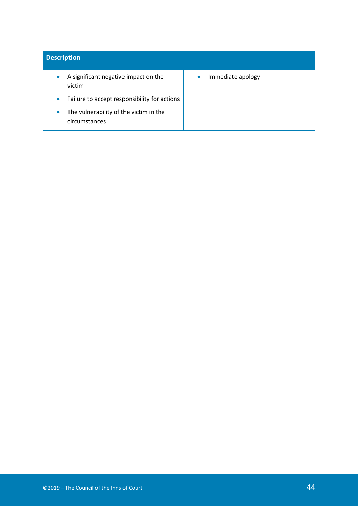| <b>Description</b> |                                                         |           |                   |
|--------------------|---------------------------------------------------------|-----------|-------------------|
| ٠                  | A significant negative impact on the<br>victim          | $\bullet$ | Immediate apology |
| ۰                  | Failure to accept responsibility for actions            |           |                   |
| $\bullet$          | The vulnerability of the victim in the<br>circumstances |           |                   |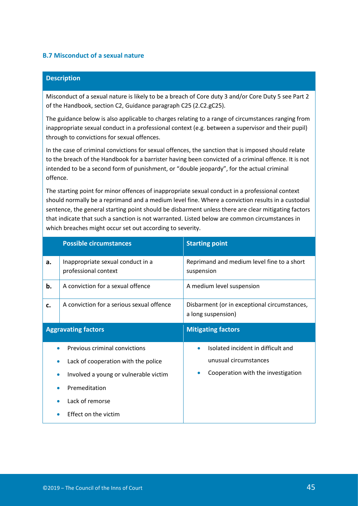#### **B.7 Misconduct of a sexual nature**

# **Description**

Misconduct of a sexual nature is likely to be a breach of Core duty 3 and/or Core Duty 5 see Part 2 of the Handbook, section C2, Guidance paragraph C25 (2.C2.gC25).

The guidance below is also applicable to charges relating to a range of circumstances ranging from inappropriate sexual conduct in a professional context (e.g. between a supervisor and their pupil) through to convictions for sexual offences.

In the case of criminal convictions for sexual offences, the sanction that is imposed should relate to the breach of the Handbook for a barrister having been convicted of a criminal offence. It is not intended to be a second form of punishment, or "double jeopardy", for the actual criminal offence.

The starting point for minor offences of inappropriate sexual conduct in a professional context should normally be a reprimand and a medium level fine. Where a conviction results in a custodial sentence, the general starting point should be disbarment unless there are clear mitigating factors that indicate that such a sanction is not warranted. Listed below are common circumstances in which breaches might occur set out according to severity.

|    | <b>Possible circumstances</b>                             | <b>Starting point</b>                                              |
|----|-----------------------------------------------------------|--------------------------------------------------------------------|
| a. | Inappropriate sexual conduct in a<br>professional context | Reprimand and medium level fine to a short<br>suspension           |
| b. | A conviction for a sexual offence                         | A medium level suspension                                          |
| c. | A conviction for a serious sexual offence                 | Disbarment (or in exceptional circumstances,<br>a long suspension) |
|    | <b>Aggravating factors</b>                                | <b>Mitigating factors</b>                                          |
|    |                                                           |                                                                    |
|    | Previous criminal convictions                             | Isolated incident in difficult and<br>$\bullet$                    |
|    | Lack of cooperation with the police                       | unusual circumstances                                              |
|    | Involved a young or vulnerable victim                     | Cooperation with the investigation                                 |
|    | Premeditation                                             |                                                                    |
|    | Lack of remorse                                           |                                                                    |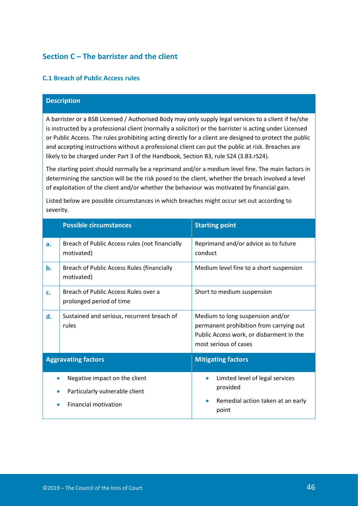# **Section C – The barrister and the client**

# **C.1 Breach of Public Access rules**

# **Description**

A barrister or a BSB Licensed / Authorised Body may only supply legal services to a client if he/she is instructed by a professional client (normally a solicitor) or the barrister is acting under Licensed or Public Access. The rules prohibiting acting directly for a client are designed to protect the public and accepting instructions without a professional client can put the public at risk. Breaches are likely to be charged under Part 3 of the Handbook, Section B3, rule S24 (3.B3.rS24).

The starting point should normally be a reprimand and/or a medium level fine. The main factors in determining the sanction will be the risk posed to the client, whether the breach involved a level of exploitation of the client and/or whether the behaviour was motivated by financial gain.

|    | <b>Possible circumstances</b>                                                                  | <b>Starting point</b>                                                                                                                            |
|----|------------------------------------------------------------------------------------------------|--------------------------------------------------------------------------------------------------------------------------------------------------|
| a. | Breach of Public Access rules (not financially<br>motivated)                                   | Reprimand and/or advice as to future<br>conduct                                                                                                  |
| b. | Breach of Public Access Rules (financially<br>motivated)                                       | Medium level fine to a short suspension                                                                                                          |
| c. | Breach of Public Access Rules over a<br>prolonged period of time                               | Short to medium suspension                                                                                                                       |
| d. | Sustained and serious, recurrent breach of<br>rules                                            | Medium to long suspension and/or<br>permanent prohibition from carrying out<br>Public Access work, or disbarment in the<br>most serious of cases |
|    | <b>Aggravating factors</b>                                                                     | <b>Mitigating factors</b>                                                                                                                        |
|    | Negative impact on the client<br>Particularly vulnerable client<br><b>Financial motivation</b> | Limited level of legal services<br>provided<br>Remedial action taken at an early<br>point                                                        |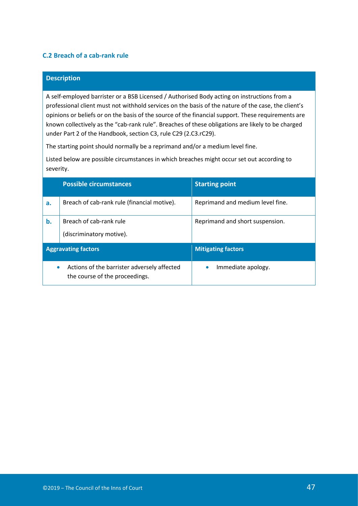## **C.2 Breach of a cab-rank rule**

# **Description**

A self-employed barrister or a BSB Licensed / Authorised Body acting on instructions from a professional client must not withhold services on the basis of the nature of the case, the client's opinions or beliefs or on the basis of the source of the financial support. These requirements are known collectively as the "cab-rank rule". Breaches of these obligations are likely to be charged under Part 2 of the Handbook, section C3, rule C29 (2.C3.rC29).

The starting point should normally be a reprimand and/or a medium level fine.

|    | <b>Possible circumstances</b>                                                 | <b>Starting point</b>            |
|----|-------------------------------------------------------------------------------|----------------------------------|
| a. | Breach of cab-rank rule (financial motive).                                   | Reprimand and medium level fine. |
| b. | Breach of cab-rank rule<br>(discriminatory motive).                           | Reprimand and short suspension.  |
|    | <b>Aggravating factors</b>                                                    | <b>Mitigating factors</b>        |
|    | Actions of the barrister adversely affected<br>the course of the proceedings. | Immediate apology.               |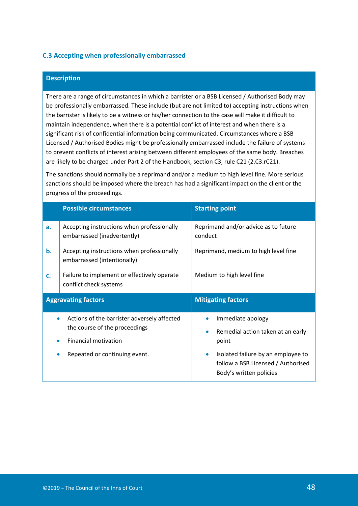#### **C.3 Accepting when professionally embarrassed**

# **Description**

There are a range of circumstances in which a barrister or a BSB Licensed / Authorised Body may be professionally embarrassed. These include (but are not limited to) accepting instructions when the barrister is likely to be a witness or his/her connection to the case will make it difficult to maintain independence, when there is a potential conflict of interest and when there is a significant risk of confidential information being communicated. Circumstances where a BSB Licensed / Authorised Bodies might be professionally embarrassed include the failure of systems to prevent conflicts of interest arising between different employees of the same body. Breaches are likely to be charged under Part 2 of the Handbook, section C3, rule C21 (2.C3.rC21).

The sanctions should normally be a reprimand and/or a medium to high level fine. More serious sanctions should be imposed where the breach has had a significant impact on the client or the progress of the proceedings.

|    | <b>Possible circumstances</b>                                                                                                                | <b>Starting point</b>                                                                                                                       |
|----|----------------------------------------------------------------------------------------------------------------------------------------------|---------------------------------------------------------------------------------------------------------------------------------------------|
| a. | Accepting instructions when professionally<br>embarrassed (inadvertently)                                                                    | Reprimand and/or advice as to future<br>conduct                                                                                             |
| b. | Accepting instructions when professionally<br>embarrassed (intentionally)                                                                    | Reprimand, medium to high level fine                                                                                                        |
| c. | Failure to implement or effectively operate<br>conflict check systems                                                                        | Medium to high level fine                                                                                                                   |
|    | <b>Aggravating factors</b>                                                                                                                   | <b>Mitigating factors</b>                                                                                                                   |
|    | Actions of the barrister adversely affected<br>the course of the proceedings<br><b>Financial motivation</b><br>Repeated or continuing event. | Immediate apology<br>Remedial action taken at an early<br>point<br>Isolated failure by an employee to<br>follow a BSB Licensed / Authorised |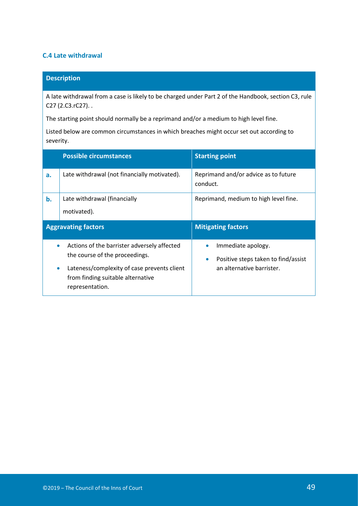# **C.4 Late withdrawal**

# **Description**

A late withdrawal from a case is likely to be charged under Part 2 of the Handbook, section C3, rule C27 (2.C3.rC27). .

The starting point should normally be a reprimand and/or a medium to high level fine.

|        | <b>Possible circumstances</b>                                                                                                                                                        | <b>Starting point</b>                                                                  |
|--------|--------------------------------------------------------------------------------------------------------------------------------------------------------------------------------------|----------------------------------------------------------------------------------------|
| a.     | Late withdrawal (not financially motivated).                                                                                                                                         | Reprimand and/or advice as to future<br>conduct.                                       |
| b.     | Late withdrawal (financially<br>motivated).                                                                                                                                          | Reprimand, medium to high level fine.                                                  |
|        | <b>Aggravating factors</b>                                                                                                                                                           | <b>Mitigating factors</b>                                                              |
| ۰<br>٠ | Actions of the barrister adversely affected<br>the course of the proceedings.<br>Lateness/complexity of case prevents client<br>from finding suitable alternative<br>representation. | Immediate apology.<br>Positive steps taken to find/assist<br>an alternative barrister. |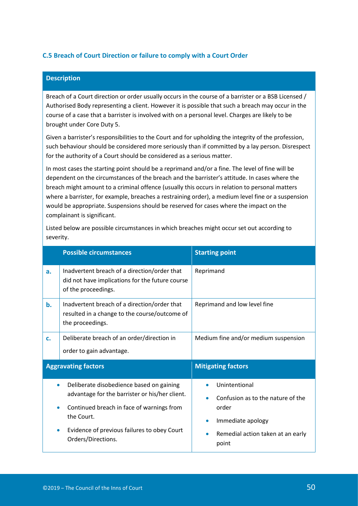# **C.5 Breach of Court Direction or failure to comply with a Court Order**

# **Description**

Breach of a Court direction or order usually occurs in the course of a barrister or a BSB Licensed / Authorised Body representing a client. However it is possible that such a breach may occur in the course of a case that a barrister is involved with on a personal level. Charges are likely to be brought under Core Duty 5.

Given a barrister's responsibilities to the Court and for upholding the integrity of the profession, such behaviour should be considered more seriously than if committed by a lay person. Disrespect for the authority of a Court should be considered as a serious matter.

In most cases the starting point should be a reprimand and/or a fine. The level of fine will be dependent on the circumstances of the breach and the barrister's attitude. In cases where the breach might amount to a criminal offence (usually this occurs in relation to personal matters where a barrister, for example, breaches a restraining order), a medium level fine or a suspension would be appropriate. Suspensions should be reserved for cases where the impact on the complainant is significant.

|                | <b>Possible circumstances</b>                                                                                                                                                                        | <b>Starting point</b>                                                            |
|----------------|------------------------------------------------------------------------------------------------------------------------------------------------------------------------------------------------------|----------------------------------------------------------------------------------|
| a.             | Inadvertent breach of a direction/order that<br>did not have implications for the future course<br>of the proceedings.                                                                               | Reprimand                                                                        |
| b.             | Inadvertent breach of a direction/order that<br>resulted in a change to the course/outcome of<br>the proceedings.                                                                                    | Reprimand and low level fine                                                     |
| c.             | Deliberate breach of an order/direction in<br>order to gain advantage.                                                                                                                               | Medium fine and/or medium suspension                                             |
|                | <b>Aggravating factors</b>                                                                                                                                                                           | <b>Mitigating factors</b>                                                        |
| $\bullet$<br>٠ | Deliberate disobedience based on gaining<br>advantage for the barrister or his/her client.<br>Continued breach in face of warnings from<br>the Court.<br>Evidence of previous failures to obey Court | Unintentional<br>Confusion as to the nature of the<br>order<br>Immediate apology |
|                | Orders/Directions.                                                                                                                                                                                   | Remedial action taken at an early<br>point                                       |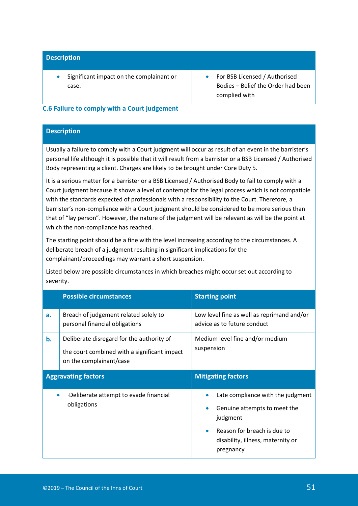- Significant impact on the complainant or case.
- For BSB Licensed / Authorised Bodies – Belief the Order had been complied with

# **C.6 Failure to comply with a Court judgement**

#### **Description**

Usually a failure to comply with a Court judgment will occur as result of an event in the barrister's personal life although it is possible that it will result from a barrister or a BSB Licensed / Authorised Body representing a client. Charges are likely to be brought under Core Duty 5.

It is a serious matter for a barrister or a BSB Licensed / Authorised Body to fail to comply with a Court judgment because it shows a level of contempt for the legal process which is not compatible with the standards expected of professionals with a responsibility to the Court. Therefore, a barrister's non-compliance with a Court judgment should be considered to be more serious than that of "lay person". However, the nature of the judgment will be relevant as will be the point at which the non-compliance has reached.

The starting point should be a fine with the level increasing according to the circumstances. A deliberate breach of a judgment resulting in significant implications for the complainant/proceedings may warrant a short suspension.

|    | <b>Possible circumstances</b>                                                                                        | <b>Starting point</b>                                                                                                                                          |
|----|----------------------------------------------------------------------------------------------------------------------|----------------------------------------------------------------------------------------------------------------------------------------------------------------|
| a. | Breach of judgement related solely to<br>personal financial obligations                                              | Low level fine as well as reprimand and/or<br>advice as to future conduct                                                                                      |
| b. | Deliberate disregard for the authority of<br>the court combined with a significant impact<br>on the complainant/case | Medium level fine and/or medium<br>suspension                                                                                                                  |
|    | <b>Aggravating factors</b>                                                                                           | <b>Mitigating factors</b>                                                                                                                                      |
|    | Deliberate attempt to evade financial<br>obligations                                                                 | Late compliance with the judgment<br>Genuine attempts to meet the<br>judgment<br>Reason for breach is due to<br>disability, illness, maternity or<br>pregnancy |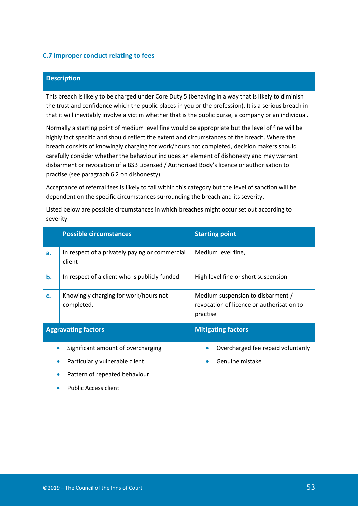# **C.7 Improper conduct relating to fees**

# **Description**

This breach is likely to be charged under Core Duty 5 (behaving in a way that is likely to diminish the trust and confidence which the public places in you or the profession). It is a serious breach in that it will inevitably involve a victim whether that is the public purse, a company or an individual.

Normally a starting point of medium level fine would be appropriate but the level of fine will be highly fact specific and should reflect the extent and circumstances of the breach. Where the breach consists of knowingly charging for work/hours not completed, decision makers should carefully consider whether the behaviour includes an element of dishonesty and may warrant disbarment or revocation of a BSB Licensed / Authorised Body's licence or authorisation to practise (see paragraph 6.2 on dishonesty).

Acceptance of referral fees is likely to fall within this category but the level of sanction will be dependent on the specific circumstances surrounding the breach and its severity.

|    | <b>Possible circumstances</b>                            | <b>Starting point</b>                                                                      |
|----|----------------------------------------------------------|--------------------------------------------------------------------------------------------|
| a. | In respect of a privately paying or commercial<br>client | Medium level fine,                                                                         |
| b. | In respect of a client who is publicly funded            | High level fine or short suspension                                                        |
| c. | Knowingly charging for work/hours not<br>completed.      | Medium suspension to disbarment /<br>revocation of licence or authorisation to<br>practise |
|    | <b>Aggravating factors</b>                               | <b>Mitigating factors</b>                                                                  |
|    | Significant amount of overcharging                       | Overcharged fee repaid voluntarily                                                         |
|    | Particularly vulnerable client                           | Genuine mistake                                                                            |
|    | Pattern of repeated behaviour                            |                                                                                            |
|    | <b>Public Access client</b>                              |                                                                                            |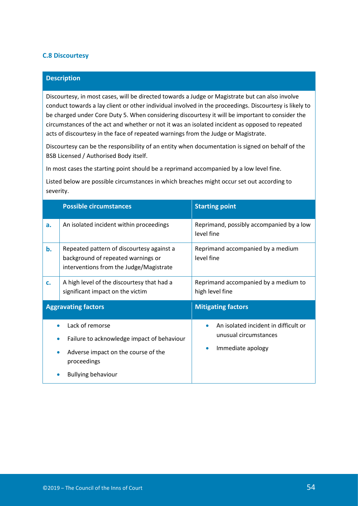#### **C.8 Discourtesy**

# **Description**

Discourtesy, in most cases, will be directed towards a Judge or Magistrate but can also involve conduct towards a lay client or other individual involved in the proceedings. Discourtesy is likely to be charged under Core Duty 5. When considering discourtesy it will be important to consider the circumstances of the act and whether or not it was an isolated incident as opposed to repeated acts of discourtesy in the face of repeated warnings from the Judge or Magistrate.

Discourtesy can be the responsibility of an entity when documentation is signed on behalf of the BSB Licensed / Authorised Body itself.

In most cases the starting point should be a reprimand accompanied by a low level fine.

|             | <b>Possible circumstances</b>                                                                                              | <b>Starting point</b>                                                                           |
|-------------|----------------------------------------------------------------------------------------------------------------------------|-------------------------------------------------------------------------------------------------|
| a.          | An isolated incident within proceedings                                                                                    | Reprimand, possibly accompanied by a low<br>level fine                                          |
| b.          | Repeated pattern of discourtesy against a<br>background of repeated warnings or<br>interventions from the Judge/Magistrate | Reprimand accompanied by a medium<br>level fine                                                 |
| $c_{\cdot}$ | A high level of the discourtesy that had a<br>significant impact on the victim                                             | Reprimand accompanied by a medium to<br>high level fine                                         |
|             | <b>Aggravating factors</b>                                                                                                 | <b>Mitigating factors</b>                                                                       |
|             | Lack of remorse<br>Failure to acknowledge impact of behaviour<br>Adverse impact on the course of the<br>proceedings        | An isolated incident in difficult or<br>$\bullet$<br>unusual circumstances<br>Immediate apology |
|             | <b>Bullying behaviour</b>                                                                                                  |                                                                                                 |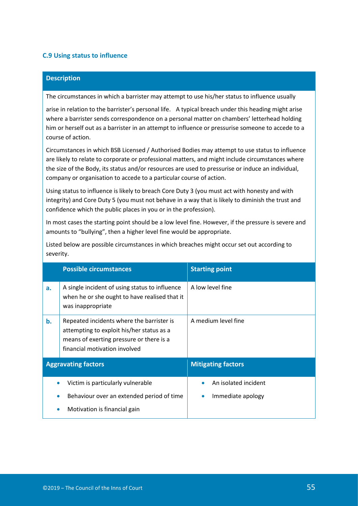#### **C.9 Using status to influence**

## **Description**

The circumstances in which a barrister may attempt to use his/her status to influence usually

arise in relation to the barrister's personal life. A typical breach under this heading might arise where a barrister sends correspondence on a personal matter on chambers' letterhead holding him or herself out as a barrister in an attempt to influence or pressurise someone to accede to a course of action.

Circumstances in which BSB Licensed / Authorised Bodies may attempt to use status to influence are likely to relate to corporate or professional matters, and might include circumstances where the size of the Body, its status and/or resources are used to pressurise or induce an individual, company or organisation to accede to a particular course of action.

Using status to influence is likely to breach Core Duty 3 (you must act with honesty and with integrity) and Core Duty 5 (you must not behave in a way that is likely to diminish the trust and confidence which the public places in you or in the profession).

In most cases the starting point should be a low level fine. However, if the pressure is severe and amounts to "bullying", then a higher level fine would be appropriate.

|           | <b>Possible circumstances</b>                                                                                                                                       | <b>Starting point</b>     |
|-----------|---------------------------------------------------------------------------------------------------------------------------------------------------------------------|---------------------------|
| a.        | A single incident of using status to influence<br>when he or she ought to have realised that it<br>was inappropriate                                                | A low level fine          |
| b.        | Repeated incidents where the barrister is<br>attempting to exploit his/her status as a<br>means of exerting pressure or there is a<br>financial motivation involved | A medium level fine       |
|           | <b>Aggravating factors</b>                                                                                                                                          | <b>Mitigating factors</b> |
| $\bullet$ | Victim is particularly vulnerable                                                                                                                                   | An isolated incident      |
|           | Behaviour over an extended period of time                                                                                                                           | Immediate apology         |
|           | Motivation is financial gain                                                                                                                                        |                           |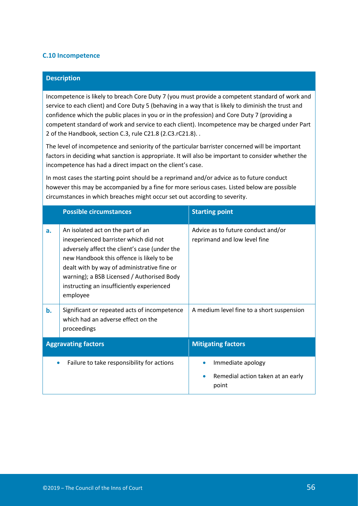# **C.10 Incompetence**

# **Description**

Incompetence is likely to breach Core Duty 7 (you must provide a competent standard of work and service to each client) and Core Duty 5 (behaving in a way that is likely to diminish the trust and confidence which the public places in you or in the profession) and Core Duty 7 (providing a competent standard of work and service to each client). Incompetence may be charged under Part 2 of the Handbook, section C.3, rule C21.8 (2.C3.rC21.8). .

The level of incompetence and seniority of the particular barrister concerned will be important factors in deciding what sanction is appropriate. It will also be important to consider whether the incompetence has had a direct impact on the client's case.

In most cases the starting point should be a reprimand and/or advice as to future conduct however this may be accompanied by a fine for more serious cases. Listed below are possible circumstances in which breaches might occur set out according to severity.

|    | <b>Possible circumstances</b>                                                                                                                                                                                                                                                                                                  | <b>Starting point</b>                                              |
|----|--------------------------------------------------------------------------------------------------------------------------------------------------------------------------------------------------------------------------------------------------------------------------------------------------------------------------------|--------------------------------------------------------------------|
| a. | An isolated act on the part of an<br>inexperienced barrister which did not<br>adversely affect the client's case (under the<br>new Handbook this offence is likely to be<br>dealt with by way of administrative fine or<br>warning); a BSB Licensed / Authorised Body<br>instructing an insufficiently experienced<br>employee | Advice as to future conduct and/or<br>reprimand and low level fine |
| b. | Significant or repeated acts of incompetence<br>which had an adverse effect on the<br>proceedings                                                                                                                                                                                                                              | A medium level fine to a short suspension                          |
|    | <b>Aggravating factors</b>                                                                                                                                                                                                                                                                                                     | <b>Mitigating factors</b>                                          |
|    | Failure to take responsibility for actions                                                                                                                                                                                                                                                                                     | Immediate apology<br>Remedial action taken at an early<br>point    |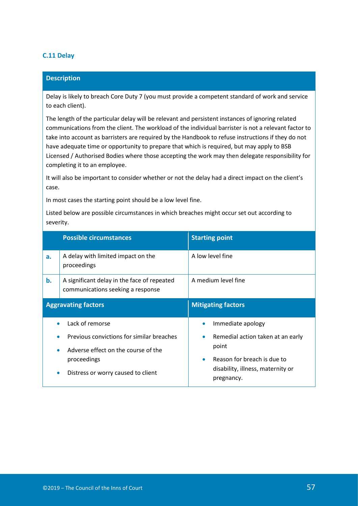# **C.11 Delay**

## **Description**

Delay is likely to breach Core Duty 7 (you must provide a competent standard of work and service to each client).

The length of the particular delay will be relevant and persistent instances of ignoring related communications from the client. The workload of the individual barrister is not a relevant factor to take into account as barristers are required by the Handbook to refuse instructions if they do not have adequate time or opportunity to prepare that which is required, but may apply to BSB Licensed / Authorised Bodies where those accepting the work may then delegate responsibility for completing it to an employee.

It will also be important to consider whether or not the delay had a direct impact on the client's case.

In most cases the starting point should be a low level fine.

|    | <b>Possible circumstances</b>                                                    | <b>Starting point</b>                           |
|----|----------------------------------------------------------------------------------|-------------------------------------------------|
| a. | A delay with limited impact on the<br>proceedings                                | A low level fine                                |
| b. | A significant delay in the face of repeated<br>communications seeking a response | A medium level fine                             |
|    | <b>Aggravating factors</b>                                                       | <b>Mitigating factors</b>                       |
|    | Lack of remorse                                                                  | Immediate apology                               |
|    | Previous convictions for similar breaches<br>Adverse effect on the course of the | Remedial action taken at an early<br>٠<br>point |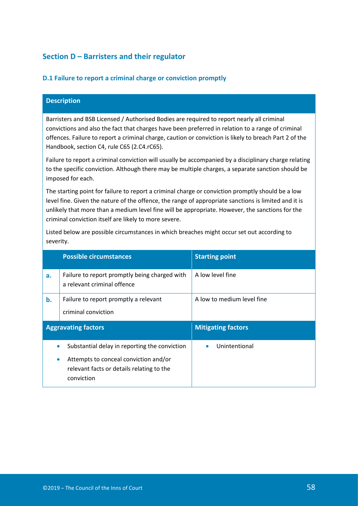# **Section D – Barristers and their regulator**

# **D.1 Failure to report a criminal charge or conviction promptly**

#### **Description**

Barristers and BSB Licensed / Authorised Bodies are required to report nearly all criminal convictions and also the fact that charges have been preferred in relation to a range of criminal offences. Failure to report a criminal charge, caution or conviction is likely to breach Part 2 of the Handbook, section C4, rule C65 (2.C4.rC65).

Failure to report a criminal conviction will usually be accompanied by a disciplinary charge relating to the specific conviction. Although there may be multiple charges, a separate sanction should be imposed for each.

The starting point for failure to report a criminal charge or conviction promptly should be a low level fine. Given the nature of the offence, the range of appropriate sanctions is limited and it is unlikely that more than a medium level fine will be appropriate. However, the sanctions for the criminal conviction itself are likely to more severe.

|    | <b>Possible circumstances</b>                                                                                                                     | <b>Starting point</b>      |
|----|---------------------------------------------------------------------------------------------------------------------------------------------------|----------------------------|
| a. | Failure to report promptly being charged with<br>a relevant criminal offence                                                                      | A low level fine           |
| b. | Failure to report promptly a relevant<br>criminal conviction                                                                                      | A low to medium level fine |
|    | <b>Aggravating factors</b>                                                                                                                        | <b>Mitigating factors</b>  |
|    | Substantial delay in reporting the conviction<br>Attempts to conceal conviction and/or<br>relevant facts or details relating to the<br>conviction | Unintentional              |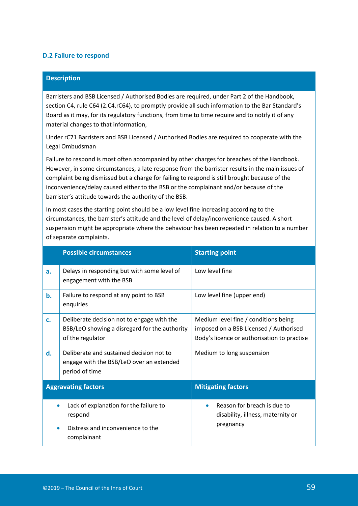#### **D.2 Failure to respond**

#### **Description**

Barristers and BSB Licensed / Authorised Bodies are required, under Part 2 of the Handbook, section C4, rule C64 (2.C4.rC64), to promptly provide all such information to the Bar Standard's Board as it may, for its regulatory functions, from time to time require and to notify it of any material changes to that information,

Under rC71 Barristers and BSB Licensed / Authorised Bodies are required to cooperate with the Legal Ombudsman

Failure to respond is most often accompanied by other charges for breaches of the Handbook. However, in some circumstances, a late response from the barrister results in the main issues of complaint being dismissed but a charge for failing to respond is still brought because of the inconvenience/delay caused either to the BSB or the complainant and/or because of the barrister's attitude towards the authority of the BSB.

In most cases the starting point should be a low level fine increasing according to the circumstances, the barrister's attitude and the level of delay/inconvenience caused. A short suspension might be appropriate where the behaviour has been repeated in relation to a number of separate complaints.

|    | <b>Possible circumstances</b>                                                                                   | <b>Starting point</b>                                                                                                         |
|----|-----------------------------------------------------------------------------------------------------------------|-------------------------------------------------------------------------------------------------------------------------------|
| a. | Delays in responding but with some level of<br>engagement with the BSB                                          | Low level fine                                                                                                                |
| b. | Failure to respond at any point to BSB<br>enquiries                                                             | Low level fine (upper end)                                                                                                    |
| c. | Deliberate decision not to engage with the<br>BSB/LeO showing a disregard for the authority<br>of the regulator | Medium level fine / conditions being<br>imposed on a BSB Licensed / Authorised<br>Body's licence or authorisation to practise |
| d. | Deliberate and sustained decision not to<br>engage with the BSB/LeO over an extended<br>period of time          | Medium to long suspension                                                                                                     |
|    | <b>Aggravating factors</b>                                                                                      | <b>Mitigating factors</b>                                                                                                     |
|    | Lack of explanation for the failure to<br>respond<br>Distress and inconvenience to the<br>complainant           | Reason for breach is due to<br>disability, illness, maternity or<br>pregnancy                                                 |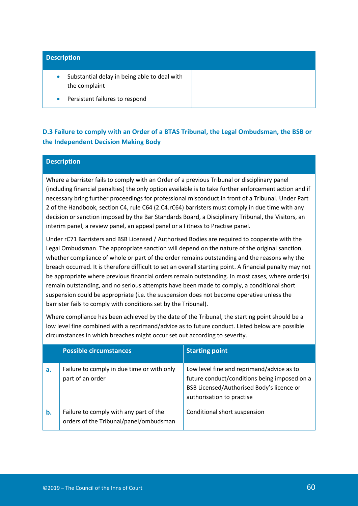| <b>Description</b> |                                                               |  |
|--------------------|---------------------------------------------------------------|--|
| ۰                  | Substantial delay in being able to deal with<br>the complaint |  |
| $\bullet$          | Persistent failures to respond                                |  |

# **D.3 Failure to comply with an Order of a BTAS Tribunal, the Legal Ombudsman, the BSB or the Independent Decision Making Body**

#### **Description**

Where a barrister fails to comply with an Order of a previous Tribunal or disciplinary panel (including financial penalties) the only option available is to take further enforcement action and if necessary bring further proceedings for professional misconduct in front of a Tribunal. Under Part 2 of the Handbook, section C4, rule C64 (2.C4.rC64) barristers must comply in due time with any decision or sanction imposed by the Bar Standards Board, a Disciplinary Tribunal, the Visitors, an interim panel, a review panel, an appeal panel or a Fitness to Practise panel.

Under rC71 Barristers and BSB Licensed / Authorised Bodies are required to cooperate with the Legal Ombudsman. The appropriate sanction will depend on the nature of the original sanction, whether compliance of whole or part of the order remains outstanding and the reasons why the breach occurred. It is therefore difficult to set an overall starting point. A financial penalty may not be appropriate where previous financial orders remain outstanding. In most cases, where order(s) remain outstanding, and no serious attempts have been made to comply, a conditional short suspension could be appropriate (i.e. the suspension does not become operative unless the barrister fails to comply with conditions set by the Tribunal).

Where compliance has been achieved by the date of the Tribunal, the starting point should be a low level fine combined with a reprimand/advice as to future conduct. Listed below are possible circumstances in which breaches might occur set out according to severity.

|    | <b>Possible circumstances</b>                                                    | <b>Starting point</b>                                                                                                                                               |
|----|----------------------------------------------------------------------------------|---------------------------------------------------------------------------------------------------------------------------------------------------------------------|
| а. | Failure to comply in due time or with only<br>part of an order                   | Low level fine and reprimand/advice as to<br>future conduct/conditions being imposed on a<br>BSB Licensed/Authorised Body's licence or<br>authorisation to practise |
| b. | Failure to comply with any part of the<br>orders of the Tribunal/panel/ombudsman | Conditional short suspension                                                                                                                                        |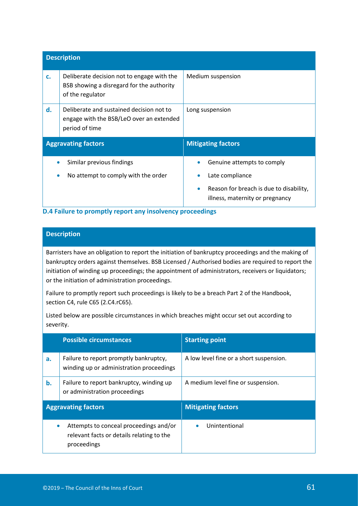|    | <b>Description</b>                                                                                          |                                                                                         |
|----|-------------------------------------------------------------------------------------------------------------|-----------------------------------------------------------------------------------------|
| c. | Deliberate decision not to engage with the<br>BSB showing a disregard for the authority<br>of the regulator | Medium suspension                                                                       |
| d. | Deliberate and sustained decision not to<br>engage with the BSB/LeO over an extended<br>period of time      | Long suspension                                                                         |
|    | <b>Aggravating factors</b>                                                                                  | <b>Mitigating factors</b>                                                               |
|    | Similar previous findings                                                                                   | Genuine attempts to comply                                                              |
|    | No attempt to comply with the order                                                                         | Late compliance                                                                         |
|    |                                                                                                             | Reason for breach is due to disability,<br>$\bullet$<br>illness, maternity or pregnancy |

#### **D.4 Failure to promptly report any insolvency proceedings**

#### **Description**

Barristers have an obligation to report the initiation of bankruptcy proceedings and the making of bankruptcy orders against themselves. BSB Licensed / Authorised bodies are required to report the initiation of winding up proceedings; the appointment of administrators, receivers or liquidators; or the initiation of administration proceedings.

Failure to promptly report such proceedings is likely to be a breach Part 2 of the Handbook, section C4, rule C65 (2.C4.rC65).

|           | <b>Possible circumstances</b>                                                                      | <b>Starting point</b>                   |
|-----------|----------------------------------------------------------------------------------------------------|-----------------------------------------|
| a.        | Failure to report promptly bankruptcy,<br>winding up or administration proceedings                 | A low level fine or a short suspension. |
| b.        | Failure to report bankruptcy, winding up<br>or administration proceedings                          | A medium level fine or suspension.      |
|           | <b>Aggravating factors</b>                                                                         | <b>Mitigating factors</b>               |
| $\bullet$ | Attempts to conceal proceedings and/or<br>relevant facts or details relating to the<br>proceedings | Unintentional<br>٠                      |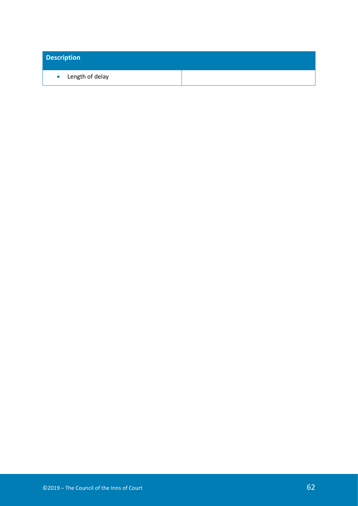| <b>Description</b>           |  |
|------------------------------|--|
| Length of delay<br>$\bullet$ |  |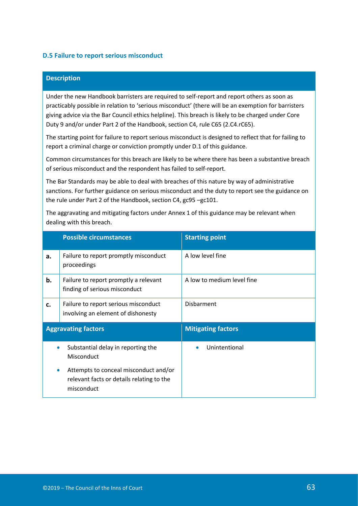#### **D.5 Failure to report serious misconduct**

## **Description**

Under the new Handbook barristers are required to self-report and report others as soon as practicably possible in relation to 'serious misconduct' (there will be an exemption for barristers giving advice via the Bar Council ethics helpline). This breach is likely to be charged under Core Duty 9 and/or under Part 2 of the Handbook, section C4, rule C65 (2.C4.rC65).

The starting point for failure to report serious misconduct is designed to reflect that for failing to report a criminal charge or conviction promptly under D.1 of this guidance.

Common circumstances for this breach are likely to be where there has been a substantive breach of serious misconduct and the respondent has failed to self-report.

The Bar Standards may be able to deal with breaches of this nature by way of administrative sanctions. For further guidance on serious misconduct and the duty to report see the guidance on the rule under Part 2 of the Handbook, section C4, gc95 –gc101.

The aggravating and mitigating factors under Annex 1 of this guidance may be relevant when dealing with this breach.

|    | <b>Possible circumstances</b>                                              | <b>Starting point</b>      |
|----|----------------------------------------------------------------------------|----------------------------|
| a. | Failure to report promptly misconduct<br>proceedings                       | A low level fine           |
| b. | Failure to report promptly a relevant<br>finding of serious misconduct     | A low to medium level fine |
| c. | Failure to report serious misconduct<br>involving an element of dishonesty | <b>Disbarment</b>          |
|    |                                                                            |                            |
|    | <b>Aggravating factors</b>                                                 | <b>Mitigating factors</b>  |
|    | Substantial delay in reporting the<br>Misconduct                           | Unintentional<br>٠         |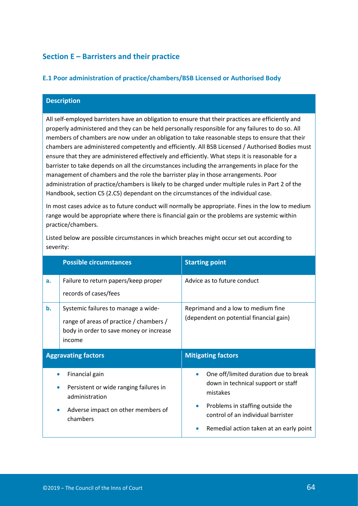# **Section E – Barristers and their practice**

# **E.1 Poor administration of practice/chambers/BSB Licensed or Authorised Body**

#### **Description**

All self-employed barristers have an obligation to ensure that their practices are efficiently and properly administered and they can be held personally responsible for any failures to do so. All members of chambers are now under an obligation to take reasonable steps to ensure that their chambers are administered competently and efficiently. All BSB Licensed / Authorised Bodies must ensure that they are administered effectively and efficiently. What steps it is reasonable for a barrister to take depends on all the circumstances including the arrangements in place for the management of chambers and the role the barrister play in those arrangements. Poor administration of practice/chambers is likely to be charged under multiple rules in Part 2 of the Handbook, section C5 (2.C5) dependant on the circumstances of the individual case.

In most cases advice as to future conduct will normally be appropriate. Fines in the low to medium range would be appropriate where there is financial gain or the problems are systemic within practice/chambers.

|    | <b>Possible circumstances</b>                                                                                                       | <b>Starting point</b>                                                         |
|----|-------------------------------------------------------------------------------------------------------------------------------------|-------------------------------------------------------------------------------|
| a. | Failure to return papers/keep proper<br>records of cases/fees                                                                       | Advice as to future conduct                                                   |
| b. | Systemic failures to manage a wide-<br>range of areas of practice / chambers /<br>body in order to save money or increase<br>income | Reprimand and a low to medium fine<br>(dependent on potential financial gain) |
|    | <b>Aggravating factors</b>                                                                                                          | <b>Mitigating factors</b>                                                     |
|    | Financial gain                                                                                                                      | One off/limited duration due to break<br>٠                                    |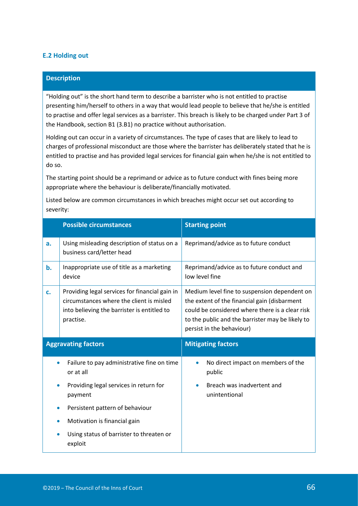## **E.2 Holding out**

# **Description**

"Holding out" is the short hand term to describe a barrister who is not entitled to practise presenting him/herself to others in a way that would lead people to believe that he/she is entitled to practise and offer legal services as a barrister. This breach is likely to be charged under Part 3 of the Handbook, section B1 (3.B1) no practice without authorisation.

Holding out can occur in a variety of circumstances. The type of cases that are likely to lead to charges of professional misconduct are those where the barrister has deliberately stated that he is entitled to practise and has provided legal services for financial gain when he/she is not entitled to do so.

The starting point should be a reprimand or advice as to future conduct with fines being more appropriate where the behaviour is deliberate/financially motivated.

|                | <b>Possible circumstances</b>                                                                                                                          | <b>Starting point</b>                                                                                                                                                                                                            |
|----------------|--------------------------------------------------------------------------------------------------------------------------------------------------------|----------------------------------------------------------------------------------------------------------------------------------------------------------------------------------------------------------------------------------|
| a.             | Using misleading description of status on a<br>business card/letter head                                                                               | Reprimand/advice as to future conduct                                                                                                                                                                                            |
| b.             | Inappropriate use of title as a marketing<br>device                                                                                                    | Reprimand/advice as to future conduct and<br>low level fine                                                                                                                                                                      |
| $\mathbf{c}$ . | Providing legal services for financial gain in<br>circumstances where the client is misled<br>into believing the barrister is entitled to<br>practise. | Medium level fine to suspension dependent on<br>the extent of the financial gain (disbarment<br>could be considered where there is a clear risk<br>to the public and the barrister may be likely to<br>persist in the behaviour) |
|                |                                                                                                                                                        |                                                                                                                                                                                                                                  |
|                | <b>Aggravating factors</b>                                                                                                                             | <b>Mitigating factors</b>                                                                                                                                                                                                        |
| $\bullet$      | Failure to pay administrative fine on time<br>or at all                                                                                                | No direct impact on members of the<br>$\bullet$<br>public                                                                                                                                                                        |
|                | Providing legal services in return for<br>payment                                                                                                      | Breach was inadvertent and<br>unintentional                                                                                                                                                                                      |
|                | Persistent pattern of behaviour                                                                                                                        |                                                                                                                                                                                                                                  |
|                | Motivation is financial gain                                                                                                                           |                                                                                                                                                                                                                                  |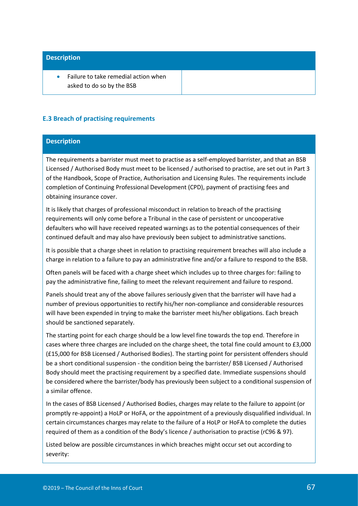• Failure to take remedial action when asked to do so by the BSB

#### **E.3 Breach of practising requirements**

#### **Description**

The requirements a barrister must meet to practise as a self-employed barrister, and that an BSB Licensed / Authorised Body must meet to be licensed / authorised to practise, are set out in Part 3 of the Handbook, Scope of Practice, Authorisation and Licensing Rules. The requirements include completion of Continuing Professional Development (CPD), payment of practising fees and obtaining insurance cover.

It is likely that charges of professional misconduct in relation to breach of the practising requirements will only come before a Tribunal in the case of persistent or uncooperative defaulters who will have received repeated warnings as to the potential consequences of their continued default and may also have previously been subject to administrative sanctions.

It is possible that a charge sheet in relation to practising requirement breaches will also include a charge in relation to a failure to pay an administrative fine and/or a failure to respond to the BSB.

Often panels will be faced with a charge sheet which includes up to three charges for: failing to pay the administrative fine, failing to meet the relevant requirement and failure to respond.

Panels should treat any of the above failures seriously given that the barrister will have had a number of previous opportunities to rectify his/her non-compliance and considerable resources will have been expended in trying to make the barrister meet his/her obligations. Each breach should be sanctioned separately.

The starting point for each charge should be a low level fine towards the top end. Therefore in cases where three charges are included on the charge sheet, the total fine could amount to £3,000 (£15,000 for BSB Licensed / Authorised Bodies). The starting point for persistent offenders should be a short conditional suspension - the condition being the barrister/ BSB Licensed / Authorised Body should meet the practising requirement by a specified date. Immediate suspensions should be considered where the barrister/body has previously been subject to a conditional suspension of a similar offence.

In the cases of BSB Licensed / Authorised Bodies, charges may relate to the failure to appoint (or promptly re-appoint) a HoLP or HoFA, or the appointment of a previously disqualified individual. In certain circumstances charges may relate to the failure of a HoLP or HoFA to complete the duties required of them as a condition of the Body's licence / authorisation to practise (rC96 & 97).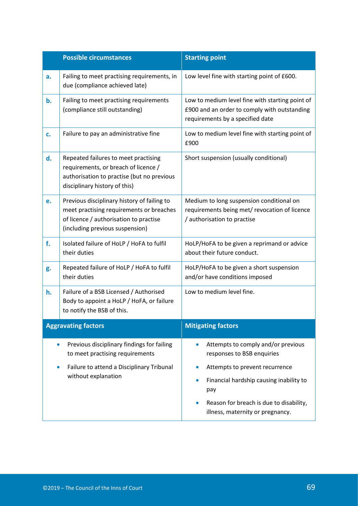|                | <b>Possible circumstances</b>                                                                                                                                        | <b>Starting point</b>                                                                                                                                                                                                                                                           |
|----------------|----------------------------------------------------------------------------------------------------------------------------------------------------------------------|---------------------------------------------------------------------------------------------------------------------------------------------------------------------------------------------------------------------------------------------------------------------------------|
| a.             | Failing to meet practising requirements, in<br>due (compliance achieved late)                                                                                        | Low level fine with starting point of £600.                                                                                                                                                                                                                                     |
| b.             | Failing to meet practising requirements<br>(compliance still outstanding)                                                                                            | Low to medium level fine with starting point of<br>£900 and an order to comply with outstanding<br>requirements by a specified date                                                                                                                                             |
| c.             | Failure to pay an administrative fine                                                                                                                                | Low to medium level fine with starting point of<br>£900                                                                                                                                                                                                                         |
| d.             | Repeated failures to meet practising<br>requirements, or breach of licence /<br>authorisation to practise (but no previous<br>disciplinary history of this)          | Short suspension (usually conditional)                                                                                                                                                                                                                                          |
| e.             | Previous disciplinary history of failing to<br>meet practising requirements or breaches<br>of licence / authorisation to practise<br>(including previous suspension) | Medium to long suspension conditional on<br>requirements being met/ revocation of licence<br>/ authorisation to practise                                                                                                                                                        |
| f.             | Isolated failure of HoLP / HoFA to fulfil<br>their duties                                                                                                            | HoLP/HoFA to be given a reprimand or advice<br>about their future conduct.                                                                                                                                                                                                      |
| g.             | Repeated failure of HoLP / HoFA to fulfil<br>their duties                                                                                                            | HoLP/HoFA to be given a short suspension<br>and/or have conditions imposed                                                                                                                                                                                                      |
| h.             | Failure of a BSB Licensed / Authorised<br>Body to appoint a HoLP / HoFA, or failure<br>to notify the BSB of this.                                                    | Low to medium level fine.                                                                                                                                                                                                                                                       |
|                | <b>Aggravating factors</b>                                                                                                                                           | <b>Mitigating factors</b>                                                                                                                                                                                                                                                       |
| ۰<br>$\bullet$ | Previous disciplinary findings for failing<br>to meet practising requirements<br>Failure to attend a Disciplinary Tribunal<br>without explanation                    | Attempts to comply and/or previous<br>$\bullet$<br>responses to BSB enquiries<br>Attempts to prevent recurrence<br>$\bullet$<br>Financial hardship causing inability to<br>$\bullet$<br>pay<br>Reason for breach is due to disability,<br>۰<br>illness, maternity or pregnancy. |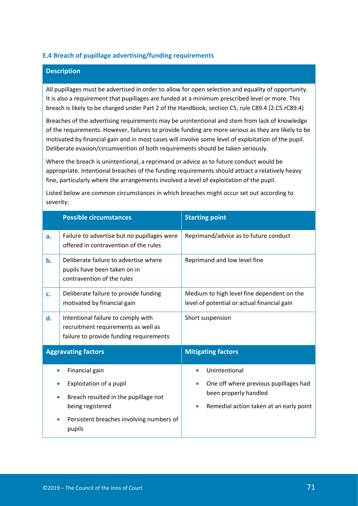#### **E.4 Breach of pupillage advertising/funding requirements**

# **Description**

All pupillages must be advertised in order to allow for open selection and equality of opportunity. It is also a requirement that pupillages are funded at a minimum prescribed level or more. This breach is likely to be charged under Part 2 of the Handbook, section C5, rule C89.4 (2.C5.rC89.4)

Breaches of the advertising requirements may be unintentional and stem from lack of knowledge of the requirements. However, failures to provide funding are more serious as they are likely to be motivated by financial gain and in most cases will involve some level of exploitation of the pupil. Deliberate evasion/circumvention of both requirements should be taken seriously.

Where the breach is unintentional, a reprimand or advice as to future conduct would be appropriate. Intentional breaches of the funding requirements should attract a relatively heavy fine, particularly where the arrangements involved a level of exploitation of the pupil.

|    | <b>Possible circumstances</b>                                                                                        | <b>Starting point</b>                                                                                                                                             |
|----|----------------------------------------------------------------------------------------------------------------------|-------------------------------------------------------------------------------------------------------------------------------------------------------------------|
| a. | Failure to advertise but no pupillages were<br>offered in contravention of the rules                                 | Reprimand/advice as to future conduct                                                                                                                             |
| b. | Deliberate failure to advertise where<br>pupils have been taken on in<br>contravention of the rules                  | Reprimand and low level fine                                                                                                                                      |
| c. | Deliberate failure to provide funding<br>motivated by financial gain                                                 | Medium to high level fine dependent on the<br>level of potential or actual financial gain                                                                         |
| d. | Intentional failure to comply with<br>recruitment requirements as well as<br>failure to provide funding requirements | Short suspension                                                                                                                                                  |
|    | <b>Aggravating factors</b>                                                                                           | <b>Mitigating factors</b>                                                                                                                                         |
|    | Financial gain<br>Exploitation of a pupil<br>Breach resulted in the pupillage not<br>being registered                | Unintentional<br>$\bullet$<br>One off where previous pupillages had<br>$\bullet$<br>been properly handled<br>Remedial action taken at an early point<br>$\bullet$ |
|    | Persistent breaches involving numbers of<br>pupils                                                                   |                                                                                                                                                                   |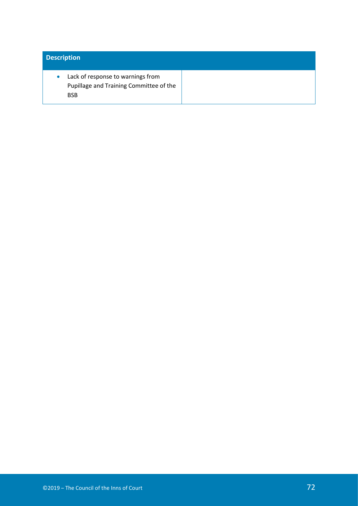| <b>Description</b>                                                                              |  |
|-------------------------------------------------------------------------------------------------|--|
| Lack of response to warnings from<br>۰<br>Pupillage and Training Committee of the<br><b>BSB</b> |  |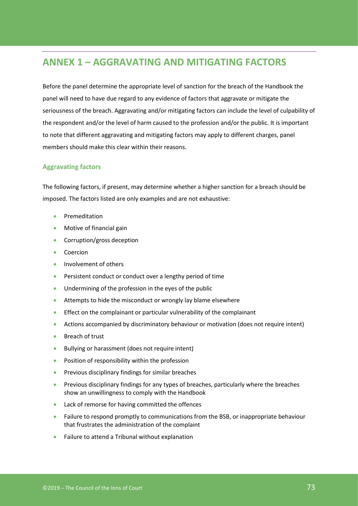# **ANNEX 1 – AGGRAVATING AND MITIGATING FACTORS**

Before the panel determine the appropriate level of sanction for the breach of the Handbook the panel will need to have due regard to any evidence of factors that aggravate or mitigate the seriousness of the breach. Aggravating and/or mitigating factors can include the level of culpability of the respondent and/or the level of harm caused to the profession and/or the public. It is important to note that different aggravating and mitigating factors may apply to different charges, panel members should make this clear within their reasons.

#### **Aggravating factors**

The following factors, if present, may determine whether a higher sanction for a breach should be imposed. The factors listed are only examples and are not exhaustive:

- **Premeditation**
- Motive of financial gain
- Corruption/gross deception
- Coercion
- Involvement of others
- Persistent conduct or conduct over a lengthy period of time
- Undermining of the profession in the eyes of the public
- Attempts to hide the misconduct or wrongly lay blame elsewhere
- Effect on the complainant or particular vulnerability of the complainant
- Actions accompanied by discriminatory behaviour or motivation (does not require intent)
- Breach of trust
- Bullying or harassment (does not require intent)
- Position of responsibility within the profession
- Previous disciplinary findings for similar breaches
- Previous disciplinary findings for any types of breaches, particularly where the breaches show an unwillingness to comply with the Handbook
- Lack of remorse for having committed the offences
- Failure to respond promptly to communications from the BSB, or inappropriate behaviour that frustrates the administration of the complaint
- Failure to attend a Tribunal without explanation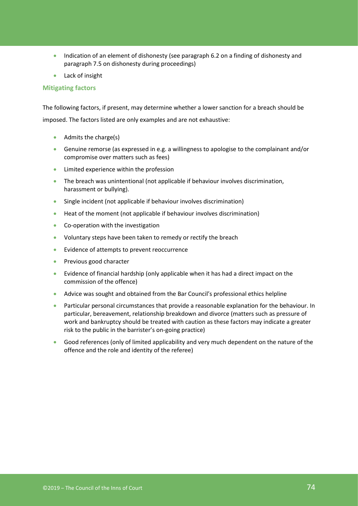- Indication of an element of dishonesty (see paragraph 6.2 on a finding of dishonesty and paragraph 7.5 on dishonesty during proceedings)
- Lack of insight

#### **Mitigating factors**

The following factors, if present, may determine whether a lower sanction for a breach should be imposed. The factors listed are only examples and are not exhaustive:

- Admits the charge(s)
- Genuine remorse (as expressed in e.g. a willingness to apologise to the complainant and/or compromise over matters such as fees)
- Limited experience within the profession
- The breach was unintentional (not applicable if behaviour involves discrimination, harassment or bullying).
- Single incident (not applicable if behaviour involves discrimination)
- Heat of the moment (not applicable if behaviour involves discrimination)
- Co-operation with the investigation
- Voluntary steps have been taken to remedy or rectify the breach
- Evidence of attempts to prevent reoccurrence
- Previous good character
- Evidence of financial hardship (only applicable when it has had a direct impact on the commission of the offence)
- Advice was sought and obtained from the Bar Council's professional ethics helpline
- Particular personal circumstances that provide a reasonable explanation for the behaviour. In particular, bereavement, relationship breakdown and divorce (matters such as pressure of work and bankruptcy should be treated with caution as these factors may indicate a greater risk to the public in the barrister's on-going practice)
- Good references (only of limited applicability and very much dependent on the nature of the offence and the role and identity of the referee)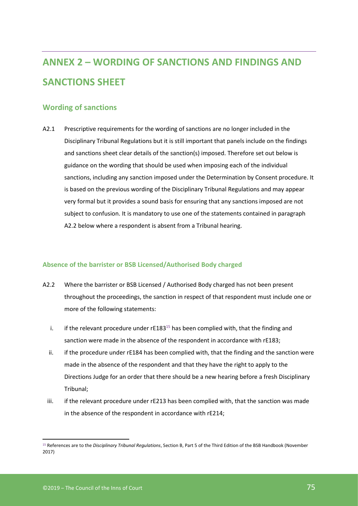# **ANNEX 2 – WORDING OF SANCTIONS AND FINDINGS AND SANCTIONS SHEET**

# **Wording of sanctions**

A2.1 Prescriptive requirements for the wording of sanctions are no longer included in the Disciplinary Tribunal Regulations but it is still important that panels include on the findings and sanctions sheet clear details of the sanction(s) imposed. Therefore set out below is guidance on the wording that should be used when imposing each of the individual sanctions, including any sanction imposed under the Determination by Consent procedure. It is based on the previous wording of the Disciplinary Tribunal Regulations and may appear very formal but it provides a sound basis for ensuring that any sanctions imposed are not subject to confusion. It is mandatory to use one of the statements contained in paragraph A2.2 below where a respondent is absent from a Tribunal hearing.

#### **Absence of the barrister or BSB Licensed/Authorised Body charged**

- A2.2 Where the barrister or BSB Licensed / Authorised Body charged has not been present throughout the proceedings, the sanction in respect of that respondent must include one or more of the following statements:
	- i. if the relevant procedure under  $rE183^{15}$  has been complied with, that the finding and sanction were made in the absence of the respondent in accordance with rE183;
	- ii. if the procedure under rE184 has been complied with, that the finding and the sanction were made in the absence of the respondent and that they have the right to apply to the Directions Judge for an order that there should be a new hearing before a fresh Disciplinary Tribunal;
	- iii. if the relevant procedure under rE213 has been complied with, that the sanction was made in the absence of the respondent in accordance with rE214;

<sup>15</sup> References are to the *Disciplinary Tribunal Regulations*, Section B, Part 5 of the Third Edition of the BSB Handbook (November 2017)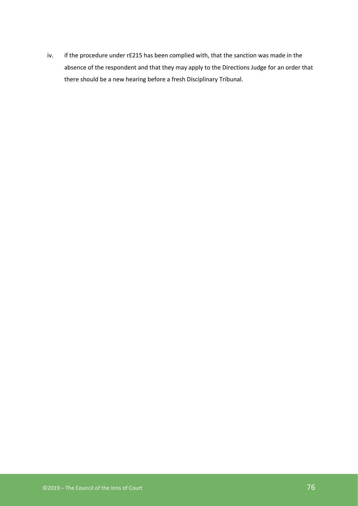iv. if the procedure under rE215 has been complied with, that the sanction was made in the absence of the respondent and that they may apply to the Directions Judge for an order that there should be a new hearing before a fresh Disciplinary Tribunal.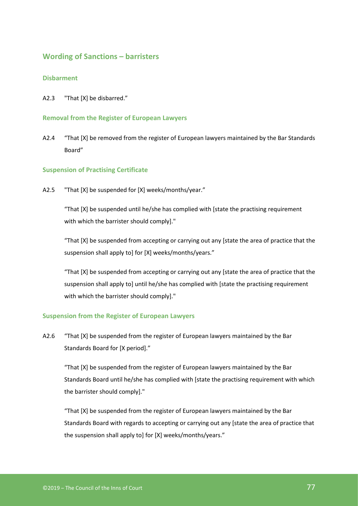### **Wording of Sanctions – barristers**

#### **Disbarment**

A2.3 "That [X] be disbarred."

#### **Removal from the Register of European Lawyers**

A2.4 "That [X] be removed from the register of European lawyers maintained by the Bar Standards Board"

#### **Suspension of Practising Certificate**

A2.5 "That [X] be suspended for [X] weeks/months/year."

"That [X] be suspended until he/she has complied with [state the practising requirement with which the barrister should comply]."

"That [X] be suspended from accepting or carrying out any [state the area of practice that the suspension shall apply to] for [X] weeks/months/years."

"That [X] be suspended from accepting or carrying out any [state the area of practice that the suspension shall apply to] until he/she has complied with [state the practising requirement with which the barrister should comply]."

#### **Suspension from the Register of European Lawyers**

A2.6 "That [X] be suspended from the register of European lawyers maintained by the Bar Standards Board for [X period]."

"That [X] be suspended from the register of European lawyers maintained by the Bar Standards Board until he/she has complied with [state the practising requirement with which the barrister should comply]."

"That [X] be suspended from the register of European lawyers maintained by the Bar Standards Board with regards to accepting or carrying out any [state the area of practice that the suspension shall apply to] for [X] weeks/months/years."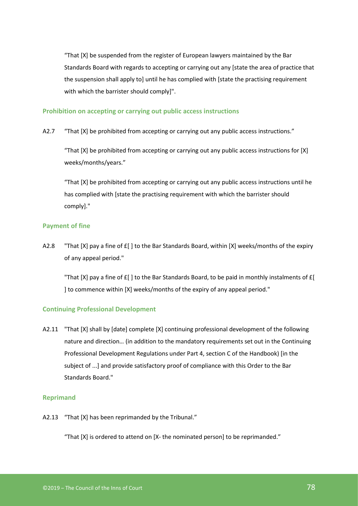"That [X] be suspended from the register of European lawyers maintained by the Bar Standards Board with regards to accepting or carrying out any [state the area of practice that the suspension shall apply to] until he has complied with [state the practising requirement with which the barrister should comply]".

#### **Prohibition on accepting or carrying out public access instructions**

A2.7 "That [X] be prohibited from accepting or carrying out any public access instructions."

"That  $[X]$  be prohibited from accepting or carrying out any public access instructions for  $[X]$ weeks/months/years."

"That [X] be prohibited from accepting or carrying out any public access instructions until he has complied with [state the practising requirement with which the barrister should comply]."

#### **Payment of fine**

A2.8 "That [X] pay a fine of £[] to the Bar Standards Board, within [X] weeks/months of the expiry of any appeal period."

"That [X] pay a fine of £[ ] to the Bar Standards Board, to be paid in monthly instalments of £[ ] to commence within [X] weeks/months of the expiry of any appeal period."

#### **Continuing Professional Development**

A2.11 "That [X] shall by [date] complete [X] continuing professional development of the following nature and direction… (in addition to the mandatory requirements set out in the Continuing Professional Development Regulations under Part 4, section C of the Handbook) [in the subject of ...] and provide satisfactory proof of compliance with this Order to the Bar Standards Board."

#### **Reprimand**

A2.13 "That [X] has been reprimanded by the Tribunal."

"That [X] is ordered to attend on [X- the nominated person] to be reprimanded."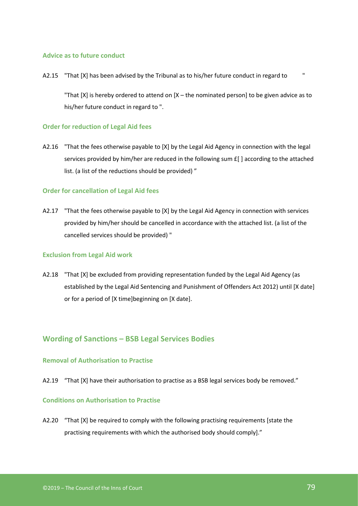#### **Advice as to future conduct**

A2.15 "That [X] has been advised by the Tribunal as to his/her future conduct in regard to

"That  $[X]$  is hereby ordered to attend on  $[X -$  the nominated person] to be given advice as to his/her future conduct in regard to ".

#### **Order for reduction of Legal Aid fees**

A2.16 "That the fees otherwise payable to [X] by the Legal Aid Agency in connection with the legal services provided by him/her are reduced in the following sum  $f$  according to the attached list. (a list of the reductions should be provided) "

#### **Order for cancellation of Legal Aid fees**

A2.17 "That the fees otherwise payable to [X] by the Legal Aid Agency in connection with services provided by him/her should be cancelled in accordance with the attached list. (a list of the cancelled services should be provided) "

#### **Exclusion from Legal Aid work**

A2.18 "That [X] be excluded from providing representation funded by the Legal Aid Agency (as established by the Legal Aid Sentencing and Punishment of Offenders Act 2012) until [X date] or for a period of [X time]beginning on [X date].

#### **Wording of Sanctions – BSB Legal Services Bodies**

#### **Removal of Authorisation to Practise**

A2.19 "That [X] have their authorisation to practise as a BSB legal services body be removed."

#### **Conditions on Authorisation to Practise**

A2.20 "That [X] be required to comply with the following practising requirements [state the practising requirements with which the authorised body should comply]."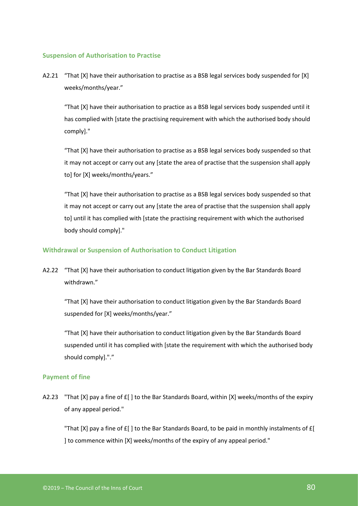#### **Suspension of Authorisation to Practise**

A2.21 "That [X] have their authorisation to practise as a BSB legal services body suspended for [X] weeks/months/year."

"That [X] have their authorisation to practice as a BSB legal services body suspended until it has complied with [state the practising requirement with which the authorised body should comply]."

"That [X] have their authorisation to practise as a BSB legal services body suspended so that it may not accept or carry out any [state the area of practise that the suspension shall apply to] for [X] weeks/months/years."

"That [X] have their authorisation to practise as a BSB legal services body suspended so that it may not accept or carry out any [state the area of practise that the suspension shall apply to] until it has complied with [state the practising requirement with which the authorised body should comply]."

#### **Withdrawal or Suspension of Authorisation to Conduct Litigation**

A2.22 "That [X] have their authorisation to conduct litigation given by the Bar Standards Board withdrawn"

"That [X] have their authorisation to conduct litigation given by the Bar Standards Board suspended for [X] weeks/months/year."

"That [X] have their authorisation to conduct litigation given by the Bar Standards Board suspended until it has complied with [state the requirement with which the authorised body should comply]."."

#### **Payment of fine**

A2.23 "That [X] pay a fine of £[ ] to the Bar Standards Board, within [X] weeks/months of the expiry of any appeal period."

"That [X] pay a fine of  $f$  [] to the Bar Standards Board, to be paid in monthly instalments of  $f$ ] to commence within [X] weeks/months of the expiry of any appeal period."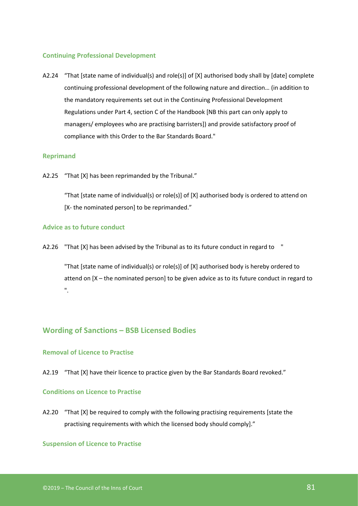#### **Continuing Professional Development**

A2.24 "That [state name of individual(s) and role(s)] of [X] authorised body shall by [date] complete continuing professional development of the following nature and direction… (in addition to the mandatory requirements set out in the Continuing Professional Development Regulations under Part 4, section C of the Handbook [NB this part can only apply to managers/ employees who are practising barristers]) and provide satisfactory proof of compliance with this Order to the Bar Standards Board."

#### **Reprimand**

A2.25 "That [X] has been reprimanded by the Tribunal."

"That [state name of individual(s) or role(s)] of [X] authorised body is ordered to attend on [X- the nominated person] to be reprimanded."

#### **Advice as to future conduct**

A2.26 "That [X] has been advised by the Tribunal as to its future conduct in regard to "

"That [state name of individual(s) or role(s)] of [X] authorised body is hereby ordered to attend on [X – the nominated person] to be given advice as to its future conduct in regard to ".

#### **Wording of Sanctions – BSB Licensed Bodies**

#### **Removal of Licence to Practise**

A2.19 "That [X] have their licence to practice given by the Bar Standards Board revoked."

#### **Conditions on Licence to Practise**

A2.20 "That [X] be required to comply with the following practising requirements [state the practising requirements with which the licensed body should comply]."

#### **Suspension of Licence to Practise**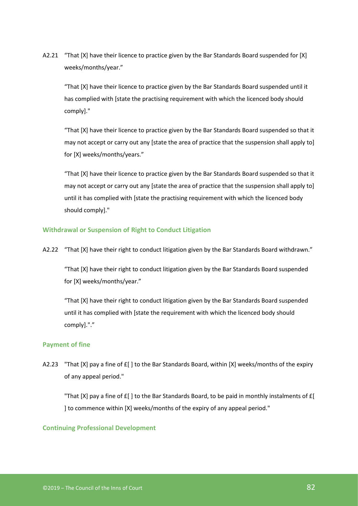A2.21 "That [X] have their licence to practice given by the Bar Standards Board suspended for [X] weeks/months/year."

"That [X] have their licence to practice given by the Bar Standards Board suspended until it has complied with [state the practising requirement with which the licenced body should comply]."

"That [X] have their licence to practice given by the Bar Standards Board suspended so that it may not accept or carry out any [state the area of practice that the suspension shall apply to] for [X] weeks/months/years."

"That [X] have their licence to practice given by the Bar Standards Board suspended so that it may not accept or carry out any [state the area of practice that the suspension shall apply to] until it has complied with [state the practising requirement with which the licenced body should comply]."

#### **Withdrawal or Suspension of Right to Conduct Litigation**

A2.22 "That [X] have their right to conduct litigation given by the Bar Standards Board withdrawn."

"That [X] have their right to conduct litigation given by the Bar Standards Board suspended for [X] weeks/months/year."

"That [X] have their right to conduct litigation given by the Bar Standards Board suspended until it has complied with [state the requirement with which the licenced body should comply]."."

#### **Payment of fine**

A2.23 "That [X] pay a fine of £[] to the Bar Standards Board, within [X] weeks/months of the expiry of any appeal period."

"That  $[X]$  pay a fine of  $E[$  ] to the Bar Standards Board, to be paid in monthly instalments of  $E[$ ] to commence within [X] weeks/months of the expiry of any appeal period."

#### **Continuing Professional Development**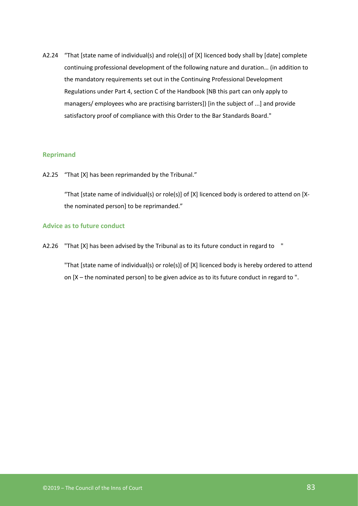A2.24 "That [state name of individual(s) and role(s)] of [X] licenced body shall by [date] complete continuing professional development of the following nature and duration… (in addition to the mandatory requirements set out in the Continuing Professional Development Regulations under Part 4, section C of the Handbook [NB this part can only apply to managers/ employees who are practising barristers]) [in the subject of ...] and provide satisfactory proof of compliance with this Order to the Bar Standards Board."

#### **Reprimand**

A2.25 "That [X] has been reprimanded by the Tribunal."

"That [state name of individual(s) or role(s)] of [X] licenced body is ordered to attend on [Xthe nominated person] to be reprimanded."

#### **Advice as to future conduct**

A2.26 "That [X] has been advised by the Tribunal as to its future conduct in regard to "

"That [state name of individual(s) or role(s)] of [X] licenced body is hereby ordered to attend on [X – the nominated person] to be given advice as to its future conduct in regard to ".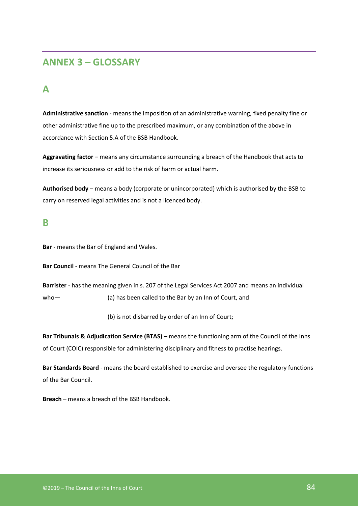# **ANNEX 3 – GLOSSARY**

# **A**

**Administrative sanction** - means the imposition of an administrative warning, fixed penalty fine or other administrative fine up to the prescribed maximum, or any combination of the above in accordance with Section 5.A of the BSB Handbook.

**Aggravating factor** – means any circumstance surrounding a breach of the Handbook that acts to increase its seriousness or add to the risk of harm or actual harm.

**Authorised body** – means a body (corporate or unincorporated) which is authorised by the BSB to carry on reserved legal activities and is not a licenced body.

# **B**

**Bar** - means the Bar of England and Wales.

**Bar Council** - means The General Council of the Bar

**Barrister** - has the meaning given in s. 207 of the Legal Services Act 2007 and means an individual who- (a) has been called to the Bar by an Inn of Court, and

(b) is not disbarred by order of an Inn of Court;

**Bar Tribunals & Adjudication Service (BTAS)** – means the functioning arm of the Council of the Inns of Court (COIC) responsible for administering disciplinary and fitness to practise hearings.

**Bar Standards Board** - means the board established to exercise and oversee the regulatory functions of the Bar Council.

**Breach** – means a breach of the BSB Handbook.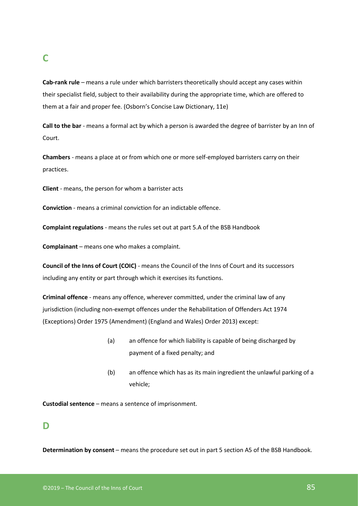# **C**

**Cab-rank rule** – means a rule under which barristers theoretically should accept any cases within their specialist field, subject to their availability during the appropriate time, which are offered to them at a fair and proper fee. (Osborn's Concise Law Dictionary, 11e)

**Call to the bar** - means a formal act by which a person is awarded the degree of barrister by an Inn of Court.

**Chambers** - means a place at or from which one or more self-employed barristers carry on their practices.

**Client** - means, the person for whom a barrister acts

**Conviction** - means a criminal conviction for an indictable offence.

**Complaint regulations** - means the rules set out at part 5.A of the BSB Handbook

**Complainant** – means one who makes a complaint.

**Council of the Inns of Court (COIC)** - means the Council of the Inns of Court and its successors including any entity or part through which it exercises its functions.

**Criminal offence** - means any offence, wherever committed, under the criminal law of any jurisdiction (including non-exempt offences under the Rehabilitation of Offenders Act 1974 (Exceptions) Order 1975 (Amendment) (England and Wales) Order 2013) except:

- (a) an offence for which liability is capable of being discharged by payment of a fixed penalty; and
- (b) an offence which has as its main ingredient the unlawful parking of a vehicle;

**Custodial sentence** – means a sentence of imprisonment.

### **D**

**Determination by consent** – means the procedure set out in part 5 section A5 of the BSB Handbook.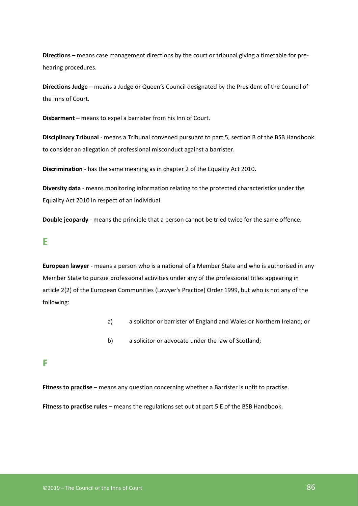**Directions** – means case management directions by the court or tribunal giving a timetable for prehearing procedures.

**Directions Judge** – means a Judge or Queen's Council designated by the President of the Council of the Inns of Court.

**Disbarment** – means to expel a barrister from his Inn of Court.

**Disciplinary Tribunal** - means a Tribunal convened pursuant to part 5, section B of the BSB Handbook to consider an allegation of professional misconduct against a barrister.

**Discrimination** - has the same meaning as in chapter 2 of the Equality Act 2010.

**Diversity data** - means monitoring information relating to the protected characteristics under the Equality Act 2010 in respect of an individual.

**Double jeopardy** - means the principle that a person cannot be tried twice for the same offence.

### **E**

**European lawyer** - means a person who is a national of a Member State and who is authorised in any Member State to pursue professional activities under any of the professional titles appearing in article 2(2) of the European Communities (Lawyer's Practice) Order 1999, but who is not any of the following:

- a) a solicitor or barrister of England and Wales or Northern Ireland; or
- b) a solicitor or advocate under the law of Scotland;

# **F**

**Fitness to practise** – means any question concerning whether a Barrister is unfit to practise.

**Fitness to practise rules** – means the regulations set out at part 5 E of the BSB Handbook.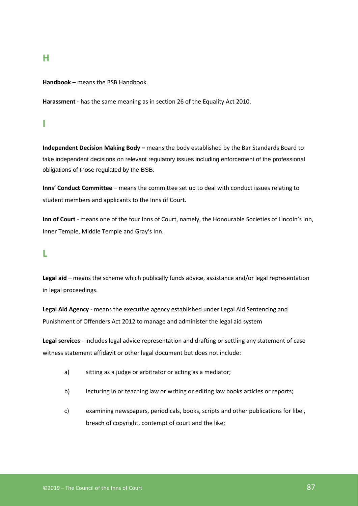# **H**

**Handbook** – means the BSB Handbook.

**Harassment** - has the same meaning as in section 26 of the Equality Act 2010.

### **I**

**Independent Decision Making Body –** means the body established by the Bar Standards Board to take independent decisions on relevant regulatory issues including enforcement of the professional obligations of those regulated by the BSB.

**Inns' Conduct Committee** – means the committee set up to deal with conduct issues relating to student members and applicants to the Inns of Court.

**Inn of Court** - means one of the four Inns of Court, namely, the Honourable Societies of Lincoln's Inn, Inner Temple, Middle Temple and Gray's Inn.

# **L**

**Legal aid** – means the scheme which publically funds advice, assistance and/or legal representation in legal proceedings.

**Legal Aid Agency** - means the executive agency established under Legal Aid Sentencing and Punishment of Offenders Act 2012 to manage and administer the legal aid system

**Legal services** - includes legal advice representation and drafting or settling any statement of case witness statement affidavit or other legal document but does not include:

- a) sitting as a judge or arbitrator or acting as a mediator;
- b) lecturing in or teaching law or writing or editing law books articles or reports;
- c) examining newspapers, periodicals, books, scripts and other publications for libel, breach of copyright, contempt of court and the like;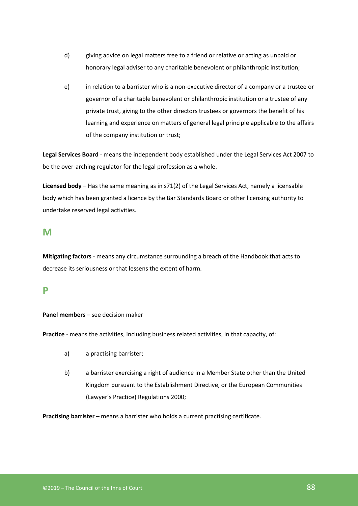- d) giving advice on legal matters free to a friend or relative or acting as unpaid or honorary legal adviser to any charitable benevolent or philanthropic institution;
- e) in relation to a barrister who is a non-executive director of a company or a trustee or governor of a charitable benevolent or philanthropic institution or a trustee of any private trust, giving to the other directors trustees or governors the benefit of his learning and experience on matters of general legal principle applicable to the affairs of the company institution or trust;

**Legal Services Board** - means the independent body established under the Legal Services Act 2007 to be the over-arching regulator for the legal profession as a whole.

**Licensed body** – Has the same meaning as in s71(2) of the Legal Services Act, namely a licensable body which has been granted a licence by the Bar Standards Board or other licensing authority to undertake reserved legal activities.

# **M**

**Mitigating factors** - means any circumstance surrounding a breach of the Handbook that acts to decrease its seriousness or that lessens the extent of harm.

### **P**

**Panel members** – see decision maker

**Practice** - means the activities, including business related activities, in that capacity, of:

- a) a practising barrister;
- b) a barrister exercising a right of audience in a Member State other than the United Kingdom pursuant to the Establishment Directive, or the European Communities (Lawyer's Practice) Regulations 2000;

**Practising barrister** – means a barrister who holds a current practising certificate.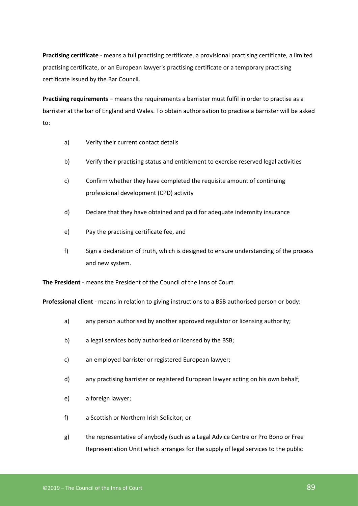**Practising certificate** - means a full practising certificate, a provisional practising certificate, a limited practising certificate, or an European lawyer's practising certificate or a temporary practising certificate issued by the Bar Council.

**Practising requirements** – means the requirements a barrister must fulfil in order to practise as a barrister at the bar of England and Wales. To obtain authorisation to practise a barrister will be asked to:

- a) Verify their current contact details
- b) Verify their practising status and entitlement to exercise reserved legal activities
- c) Confirm whether they have completed the requisite amount of continuing professional development (CPD) activity
- d) Declare that they have obtained and paid for adequate indemnity insurance
- e) Pay the practising certificate fee, and
- f) Sign a declaration of truth, which is designed to ensure understanding of the process and new system.

**The President** - means the President of the Council of the Inns of Court.

**Professional client** - means in relation to giving instructions to a BSB authorised person or body:

- a) any person authorised by another approved regulator or licensing authority;
- b) a legal services body authorised or licensed by the BSB;
- c) an employed barrister or registered European lawyer;
- d) any practising barrister or registered European lawyer acting on his own behalf;
- e) a foreign lawyer;
- f) a Scottish or Northern Irish Solicitor; or
- g) the representative of anybody (such as a Legal Advice Centre or Pro Bono or Free Representation Unit) which arranges for the supply of legal services to the public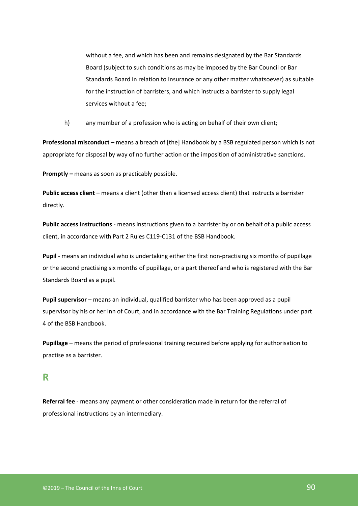without a fee, and which has been and remains designated by the Bar Standards Board (subject to such conditions as may be imposed by the Bar Council or Bar Standards Board in relation to insurance or any other matter whatsoever) as suitable for the instruction of barristers, and which instructs a barrister to supply legal services without a fee;

h) any member of a profession who is acting on behalf of their own client;

**Professional misconduct** – means a breach of [the] Handbook by a BSB regulated person which is not appropriate for disposal by way of no further action or the imposition of administrative sanctions.

**Promptly –** means as soon as practicably possible.

**Public access client** – means a client (other than a licensed access client) that instructs a barrister directly.

**Public access instructions** - means instructions given to a barrister by or on behalf of a public access client, in accordance with Part 2 Rules C119-C131 of the BSB Handbook.

**Pupil** - means an individual who is undertaking either the first non-practising six months of pupillage or the second practising six months of pupillage, or a part thereof and who is registered with the Bar Standards Board as a pupil.

**Pupil supervisor** – means an individual, qualified barrister who has been approved as a pupil supervisor by his or her Inn of Court, and in accordance with the Bar Training Regulations under part 4 of the BSB Handbook.

**Pupillage** – means the period of professional training required before applying for authorisation to practise as a barrister.

### **R**

**Referral fee** - means any payment or other consideration made in return for the referral of professional instructions by an intermediary.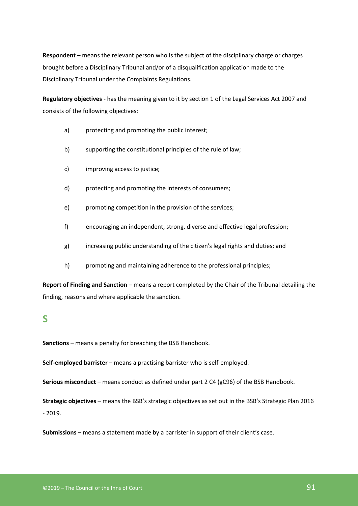**Respondent –** means the relevant person who is the subject of the disciplinary charge or charges brought before a Disciplinary Tribunal and/or of a disqualification application made to the Disciplinary Tribunal under the Complaints Regulations.

**Regulatory objectives** - has the meaning given to it by section 1 of the Legal Services Act 2007 and consists of the following objectives:

- a) protecting and promoting the public interest;
- b) supporting the constitutional principles of the rule of law;
- c) improving access to justice;
- d) protecting and promoting the interests of consumers;
- e) promoting competition in the provision of the services;
- f) encouraging an independent, strong, diverse and effective legal profession;
- g) increasing public understanding of the citizen's legal rights and duties; and
- h) promoting and maintaining adherence to the professional principles;

**Report of Finding and Sanction** – means a report completed by the Chair of the Tribunal detailing the finding, reasons and where applicable the sanction.

# **S**

**Sanctions** – means a penalty for breaching the BSB Handbook.

**Self-employed barrister** – means a practising barrister who is self-employed.

**Serious misconduct** – means conduct as defined under part 2 C4 (gC96) of the BSB Handbook.

**Strategic objectives** – means the BSB's strategic objectives as set out in the BSB's Strategic Plan 2016 - 2019.

**Submissions** – means a statement made by a barrister in support of their client's case.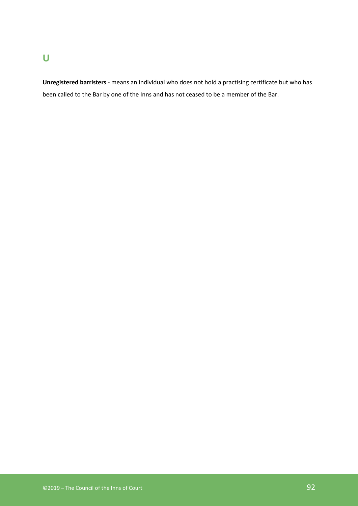# **U**

**Unregistered barristers** - means an individual who does not hold a practising certificate but who has been called to the Bar by one of the Inns and has not ceased to be a member of the Bar.